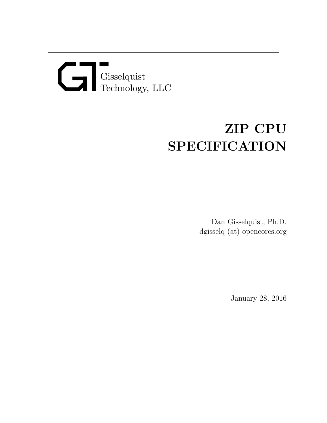# Gisselquist Technology, LLC

# ZIP CPU SPECIFICATION

Dan Gisselquist, Ph.D. dgisselq (at) opencores.org

January 28, 2016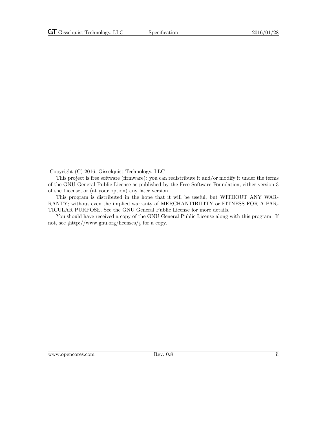Copyright (C) 2016, Gisselquist Technology, LLC

This project is free software (firmware): you can redistribute it and/or modify it under the terms of the GNU General Public License as published by the Free Software Foundation, either version 3 of the License, or (at your option) any later version.

This program is distributed in the hope that it will be useful, but WITHOUT ANY WAR-RANTY; without even the implied warranty of MERCHANTIBILITY or FITNESS FOR A PAR-TICULAR PURPOSE. See the GNU General Public License for more details.

You should have received a copy of the GNU General Public License along with this program. If not, see  $\frac{\text{http://www.gnu.org/} \cdot \text{circes}}{\text{...}}$  for a copy.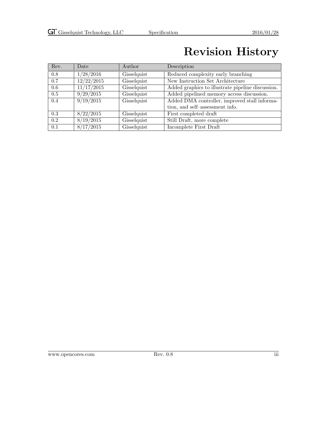## Revision History

| Rev. | Date       | Author      | Description                                       |
|------|------------|-------------|---------------------------------------------------|
| 0.8  | 1/28/2016  | Gisselquist | Reduced complexity early branching                |
| 0.7  | 12/22/2015 | Gisselquist | New Instruction Set Architecture                  |
| 0.6  | 11/17/2015 | Gisselquist | Added graphics to illustrate pipeline discussion. |
| 0.5  | 9/29/2015  | Gisselquist | Added pipelined memory access discussion.         |
| 0.4  | 9/19/2015  | Gisselquist | Added DMA controller, improved stall informa-     |
|      |            |             | tion, and self-assessment info.                   |
| 0.3  | 8/22/2015  | Gisselquist | First completed draft                             |
| 0.2  | 8/19/2015  | Gisselquist | Still Draft, more complete                        |
| 0.1  | 8/17/2015  | Gisselquist | Incomplete First Draft                            |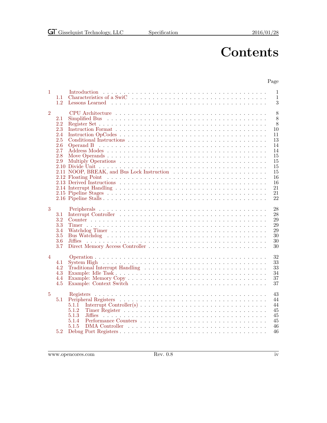## **Contents**

#### Page

| $\mathbf{1}$   | 1.1<br>1.2                                                  | $\mathbf{1}$<br>$\mathbf{1}$<br>3<br>Lessons Learned                                                                                                                                                                                                              |
|----------------|-------------------------------------------------------------|-------------------------------------------------------------------------------------------------------------------------------------------------------------------------------------------------------------------------------------------------------------------|
| $\overline{2}$ | 2.1<br>2.2<br>2.3<br>2.4<br>2.5<br>2.6<br>2.7<br>2.8<br>2.9 | 8<br>8<br>8<br>10<br>11<br>13<br>14<br>14<br>15<br>15<br>15<br>15<br>16<br>16<br>21<br>21<br>22                                                                                                                                                                   |
| 3              | 3.1<br>3.2<br>3.3<br>3.4<br>3.5<br>3.6<br>3.7               | 28<br>28<br>29<br>29<br>29<br>30<br>30<br>30                                                                                                                                                                                                                      |
| $\overline{4}$ | 4.1<br>4.2<br>4.3<br>4.4<br>4.5                             | 32<br>33<br>System High received and the set of the system of the system of the system of the system of the system of the system of the system of the system of the system of the system of the system of the system of the system of the<br>33<br>34<br>37<br>37 |
| $\overline{5}$ | 5.1<br>5.2                                                  | 43<br>44<br>44<br>5.1.1<br>5.1.2<br>45<br>5.1.3<br>45<br>45<br>5.1.4<br>5.1.5<br>46<br>46                                                                                                                                                                         |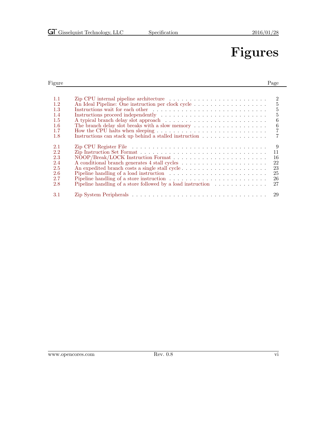## Figures

#### Figure Page **Page 2018** [1.1 Zip CPU internal pipeline architecture](#page-9-0) . . . . . . . . . . . . . . . . . . . . . . . . 2 [1.2 An Ideal Pipeline: One instruction per clock cycle](#page-12-0) . . . . . . . . . . . . . . . . . . 5 [1.3 Instructions wait for each other](#page-12-1) . . . . . . . . . . . . . . . . . . . . . . . . . . . . 5 [1.4 Instructions proceed independently](#page-12-2) . . . . . . . . . . . . . . . . . . . . . . . . . . 5 [1.5 A typical branch delay slot approach](#page-13-0)  $\ldots \ldots \ldots \ldots \ldots \ldots \ldots \ldots \ldots$ [1.6 The branch delay slot breaks with a slow memory](#page-13-1) . . . . . . . . . . . . . . . . . . 6 [1.7 How the CPU halts when sleeping](#page-14-0) . . . . . . . . . . . . . . . . . . . . . . . . . . . 7 Instructions can stack up behind a stalled instruction  $\dots \dots \dots \dots \dots$ [2.1 Zip CPU Register File](#page-16-0) . . . . . . . . . . . . . . . . . . . . . . . . . . . . . . . . . 9 [2.2 Zip Instruction Set Format](#page-18-1) . . . . . . . . . . . . . . . . . . . . . . . . . . . . . . . 11 [2.3 NOOP/Break/LOCK Instruction Format](#page-23-2) . . . . . . . . . . . . . . . . . . . . . . . 16 [2.4 A conditional branch generates 4 stall cycles](#page-29-1) . . . . . . . . . . . . . . . . . . . . . 22 [2.5 An expedited branch costs a single stall cycle](#page-30-0)  $\dots \dots \dots \dots \dots \dots \dots \dots$  23<br>2.6 Pipeline handling of a load instruction [2.6 Pipeline handling of a load instruction](#page-32-0)  $\ldots \ldots \ldots \ldots \ldots \ldots \ldots \ldots$  . 25 [2.7 Pipeline handling of a store instruction](#page-33-0) . . . . . . . . . . . . . . . . . . . . . . . . 26 [2.8 Pipeline handling of a store followed by a load instruction](#page-34-0)  $\dots \dots \dots \dots$  27 [3.1 Zip System Peripherals](#page-36-3) . . . . . . . . . . . . . . . . . . . . . . . . . . . . . . . . . 29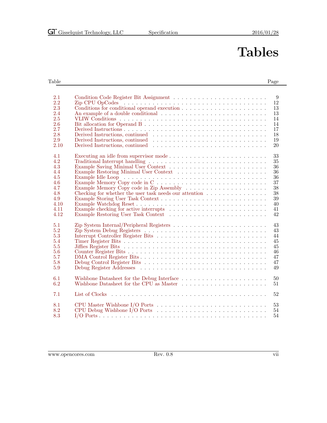# Tables

#### Table Page **Page 2018**

| 2.1<br>2.2<br>2.3<br>2.4<br>2.5<br>2.6<br>2.7<br>2.8<br>2.9<br>2.10                 | 9<br>12<br>Conditions for conditional operand execution $\ldots \ldots \ldots \ldots \ldots \ldots \ldots$<br>13<br>13<br>14<br>14<br>17<br>Derived Instructions, continued<br>18<br>19<br>20 |
|-------------------------------------------------------------------------------------|-----------------------------------------------------------------------------------------------------------------------------------------------------------------------------------------------|
| 4.1<br>4.2<br>4.3<br>4.4<br>4.5<br>4.6<br>4.7<br>4.8<br>4.9<br>4.10<br>4.11<br>4.12 | 33<br>35<br>36<br>36<br>36<br>37<br>38<br>Checking for whether the user task needs our attention<br>38<br>39<br>40<br>41<br>42                                                                |
| 5.1<br>5.2<br>5.3<br>5.4<br>5.5<br>5.6<br>5.7<br>5.8<br>5.9                         | Zip System Internal/Peripheral Registers $\dots \dots \dots \dots \dots \dots \dots \dots \dots$<br>43<br>43<br>44<br>45<br>45<br>46<br>47<br>47<br>49                                        |
| 6.1<br>6.2                                                                          | Wishbone Datasheet for the Debug Interface $\ldots \ldots \ldots \ldots \ldots \ldots \ldots \ldots$<br>$50\,$<br>Wishbone Datasheet for the CPU as Master<br>51                              |
| 7.1                                                                                 | 52                                                                                                                                                                                            |
| 8.1<br>8.2<br>8.3                                                                   | 53<br>54<br>54                                                                                                                                                                                |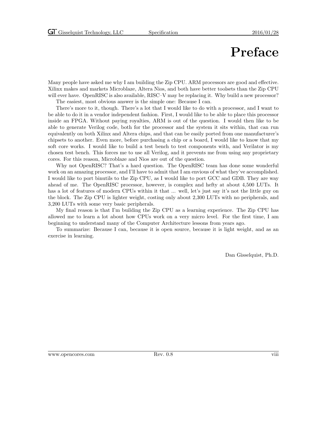## Preface

Many people have asked me why I am building the Zip CPU. ARM processors are good and effective. Xilinx makes and markets Microblaze, Altera Nios, and both have better toolsets than the Zip CPU will ever have. OpenRISC is also available, RISC–V may be replacing it. Why build a new processor?

The easiest, most obvious answer is the simple one: Because I can.

There's more to it, though. There's a lot that I would like to do with a processor, and I want to be able to do it in a vendor independent fashion. First, I would like to be able to place this processor inside an FPGA. Without paying royalties, ARM is out of the question. I would then like to be able to generate Verilog code, both for the processor and the system it sits within, that can run equivalently on both Xilinx and Altera chips, and that can be easily ported from one manufacturer's chipsets to another. Even more, before purchasing a chip or a board, I would like to know that my soft core works. I would like to build a test bench to test components with, and Verilator is my chosen test bench. This forces me to use all Verilog, and it prevents me from using any proprietary cores. For this reason, Microblaze and Nios are out of the question.

Why not OpenRISC? That's a hard question. The OpenRISC team has done some wonderful work on an amazing processor, and I'll have to admit that I am envious of what they've accomplished. I would like to port binutils to the Zip CPU, as I would like to port GCC and GDB. They are way ahead of me. The OpenRISC processor, however, is complex and hefty at about 4,500 LUTs. It has a lot of features of modern CPUs within it that ... well, let's just say it's not the little guy on the block. The Zip CPU is lighter weight, costing only about 2,300 LUTs with no peripherals, and 3,200 LUTs with some very basic peripherals.

My final reason is that I'm building the Zip CPU as a learning experience. The Zip CPU has allowed me to learn a lot about how CPUs work on a very micro level. For the first time, I am beginning to understand many of the Computer Architecture lessons from years ago.

To summarize: Because I can, because it is open source, because it is light weight, and as an exercise in learning.

Dan Gisselquist, Ph.D.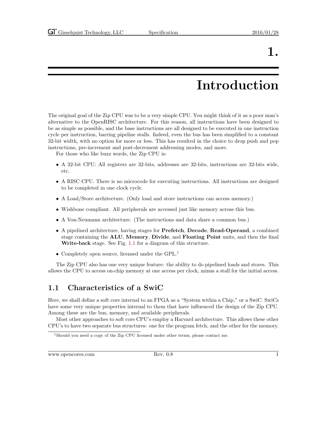# Introduction

<span id="page-8-0"></span>The original goal of the Zip CPU was to be a very simple CPU. You might think of it as a poor man's alternative to the OpenRISC architecture. For this reason, all instructions have been designed to be as simple as possible, and the base instructions are all designed to be executed in one instruction cycle per instruction, barring pipeline stalls. Indeed, even the bus has been simplified to a constant 32-bit width, with no option for more or less. This has resulted in the choice to drop push and pop instructions, pre-increment and post-decrement addressing modes, and more.

For those who like buzz words, the Zip CPU is:

- A 32-bit CPU: All registers are 32-bits, addresses are 32-bits, instructions are 32-bits wide, etc.
- A RISC CPU. There is no microcode for executing instructions. All instructions are designed to be completed in one clock cycle.
- A Load/Store architecture. (Only load and store instructions can access memory.)
- Wishbone compliant. All peripherals are accessed just like memory across this bus.
- A Von-Neumann architecture. (The instructions and data share a common bus.)
- A pipelined architecture, having stages for Prefetch, Decode, Read-Operand, a combined stage containing the ALU, Memory, Divide, and Floating Point units, and then the final Write-back stage. See Fig. [1.1](#page-9-0) for a diagram of this structure.
- Completely open source, licensed under the GPL.<sup>[1](#page-8-2)</sup>

The Zip CPU also has one very unique feature: the ability to do pipelined loads and stores. This allows the CPU to access on-chip memory at one access per clock, minus a stall for the initial access.

### <span id="page-8-1"></span>1.1 Characteristics of a SwiC

Here, we shall define a soft core internal to an FPGA as a "System within a Chip," or a SwiC. SwiCs have some very unique properties internal to them that have influenced the design of the Zip CPU. Among these are the bus, memory, and available peripherals.

Most other approaches to soft core CPU's employ a Harvard architecture. This allows these other CPU's to have two separate bus structures: one for the program fetch, and the other for the memory.

<span id="page-8-2"></span><sup>&</sup>lt;sup>1</sup>Should you need a copy of the Zip CPU licensed under other terms, please contact me.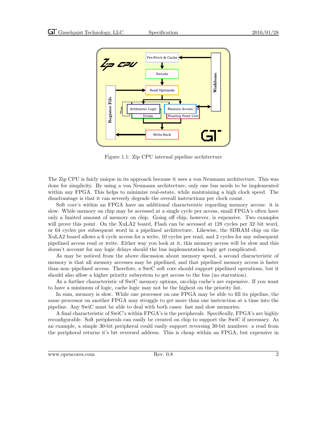

<span id="page-9-0"></span>Figure 1.1: Zip CPU internal pipeline architecture

The Zip CPU is fairly unique in its approach because it uses a von Neumann architecture. This was done for simplicity. By using a von Neumann architecture, only one bus needs to be implemented within any FPGA. This helps to minimize real-estate, while maintaining a high clock speed. The disadvantage is that it can severely degrade the overall instructions per clock count.

Soft core's within an FPGA have an additional characteristic regarding memory access: it is slow. While memory on chip may be accessed at a single cycle per access, small FPGA's often have only a limited amount of memory on chip. Going off chip, however, is expensive. Two examples will prove this point. On the XuLA2 board, Flash can be accessed at 128 cycles per 32-bit word, or 64 cycles per subsequent word in a pipelined architecture. Likewise, the SDRAM chip on the XuLA2 board allows a 6 cycle access for a write, 10 cycles per read, and 2 cycles for any subsequent pipelined access read or write. Either way you look at it, this memory access will be slow and this doesn't account for any logic delays should the bus implementation logic get complicated.

As may be noticed from the above discussion about memory speed, a second characteristic of memory is that all memory accesses may be pipelined, and that pipelined memory access is faster than non–pipelined access. Therefore, a SwiC soft core should support pipelined operations, but it should also allow a higher priority subsystem to get access to the bus (no starvation).

As a further characteristic of SwiC memory options, on-chip cache's are expensive. If you want to have a minimum of logic, cache logic may not be the highest on the priority list.

In sum, memory is slow. While one processor on one FPGA may be able to fill its pipeline, the same processor on another FPGA may struggle to get more than one instruction at a time into the pipeline. Any SwiC must be able to deal with both cases: fast and slow memories.

A final characteristic of SwiC's within FPGA's is the peripherals. Specifically, FPGA's are highly reconfigurable. Soft peripherals can easily be created on chip to support the SwiC if necessary. As an example, a simple 30-bit peripheral could easily support reversing 30-bit numbers: a read from the peripheral returns it's bit–reversed address. This is cheap within an FPGA, but expensive in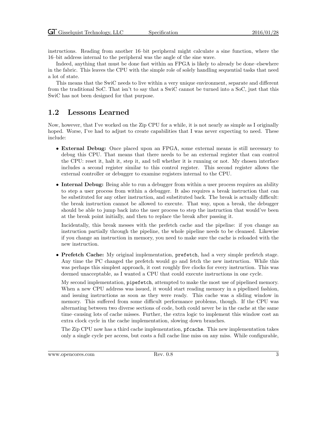instructions. Reading from another 16–bit peripheral might calculate a sine function, where the 16–bit address internal to the peripheral was the angle of the sine wave.

Indeed, anything that must be done fast within an FPGA is likely to already be done–elsewhere in the fabric. This leaves the CPU with the simple role of solely handling sequential tasks that need a lot of state.

This means that the SwiC needs to live within a very unique environment, separate and different from the traditional SoC. That isn't to say that a SwiC cannot be turned into a SoC, just that this SwiC has not been designed for that purpose.

#### <span id="page-10-0"></span>1.2 Lessons Learned

Now, however, that I've worked on the Zip CPU for a while, it is not nearly as simple as I originally hoped. Worse, I've had to adjust to create capabilities that I was never expecting to need. These include:

- External Debug: Once placed upon an FPGA, some external means is still necessary to debug this CPU. That means that there needs to be an external register that can control the CPU: reset it, halt it, step it, and tell whether it is running or not. My chosen interface includes a second register similar to this control register. This second register allows the external controller or debugger to examine registers internal to the CPU.
- Internal Debug: Being able to run a debugger from within a user process requires an ability to step a user process from within a debugger. It also requires a break instruction that can be substituted for any other instruction, and substituted back. The break is actually difficult: the break instruction cannot be allowed to execute. That way, upon a break, the debugger should be able to jump back into the user process to step the instruction that would've been at the break point initially, and then to replace the break after passing it.

Incidentally, this break messes with the prefetch cache and the pipeline: if you change an instruction partially through the pipeline, the whole pipeline needs to be cleansed. Likewise if you change an instruction in memory, you need to make sure the cache is reloaded with the new instruction.

• Prefetch Cache: My original implementation, prefetch, had a very simple prefetch stage. Any time the PC changed the prefetch would go and fetch the new instruction. While this was perhaps this simplest approach, it cost roughly five clocks for every instruction. This was deemed unacceptable, as I wanted a CPU that could execute instructions in one cycle.

My second implementation, pipefetch, attempted to make the most use of pipelined memory. When a new CPU address was issued, it would start reading memory in a pipelined fashion, and issuing instructions as soon as they were ready. This cache was a sliding window in memory. This suffered from some difficult performance problems, though. If the CPU was alternating between two diverse sections of code, both could never be in the cache at the same time–causing lots of cache misses. Further, the extra logic to implement this window cost an extra clock cycle in the cache implementation, slowing down branches.

The Zip CPU now has a third cache implementation, pfcache. This new implementation takes only a single cycle per access, but costs a full cache line miss on any miss. While configurable,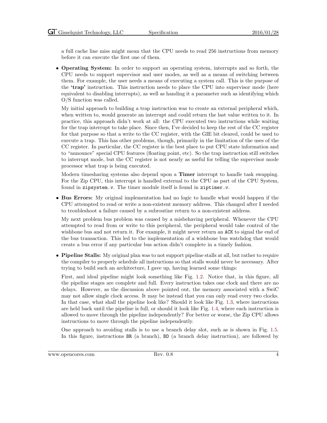a full cache line miss might mean that the CPU needs to read 256 instructions from memory before it can execute the first one of them.

• Operating System: In order to support an operating system, interrupts and so forth, the CPU needs to support supervisor and user modes, as well as a means of switching between them. For example, the user needs a means of executing a system call. This is the purpose of the 'trap' instruction. This instruction needs to place the CPU into supervisor mode (here equivalent to disabling interrupts), as well as handing it a parameter such as identifying which O/S function was called.

My initial approach to building a trap instruction was to create an external peripheral which, when written to, would generate an interrupt and could return the last value written to it. In practice, this approach didn't work at all: the CPU executed two instructions while waiting for the trap interrupt to take place. Since then, I've decided to keep the rest of the CC register for that purpose so that a write to the CC register, with the GIE bit cleared, could be used to execute a trap. This has other problems, though, primarily in the limitation of the uses of the CC register. In particular, the CC register is the best place to put CPU state information and to "announce" special CPU features (floating point, etc). So the trap instruction still switches to interrupt mode, but the CC register is not nearly as useful for telling the supervisor mode processor what trap is being executed.

Modern timesharing systems also depend upon a Timer interrupt to handle task swapping. For the Zip CPU, this interrupt is handled external to the CPU as part of the CPU System, found in zipsystem.v. The timer module itself is found in ziptimer.v.

• Bus Errors: My original implementation had no logic to handle what would happen if the CPU attempted to read or write a non-existent memory address. This changed after I needed to troubleshoot a failure caused by a subroutine return to a non-existent address.

My next problem bus problem was caused by a misbehaving peripheral. Whenever the CPU attempted to read from or write to this peripheral, the peripheral would take control of the wishbone bus and not return it. For example, it might never return an ACK to signal the end of the bus transaction. This led to the implementation of a wishbone bus watchdog that would create a bus error if any particular bus action didn't complete in a timely fashion.

• Pipeline Stalls: My original plan was to not support pipeline stalls at all, but rather to require the compiler to properly schedule all instructions so that stalls would never be necessary. After trying to build such an architecture, I gave up, having learned some things:

First, and ideal pipeline might look something like Fig. [1.2.](#page-12-0) Notice that, in this figure, all the pipeline stages are complete and full. Every instruction takes one clock and there are no delays. However, as the discussion above pointed out, the memory associated with a SwiC may not allow single clock access. It may be instead that you can only read every two clocks. In that case, what shall the pipeline look like? Should it look like Fig. [1.3,](#page-12-1) where instructions are held back until the pipeline is full, or should it look like Fig. [1.4,](#page-12-2) where each instruction is allowed to move through the pipeline independently? For better or worse, the Zip CPU allows instructions to move through the pipeline independently.

One approach to avoiding stalls is to use a branch delay slot, such as is shown in Fig. [1.5.](#page-13-0) In this figure, instructions BR (a branch), BD (a branch delay instruction), are followed by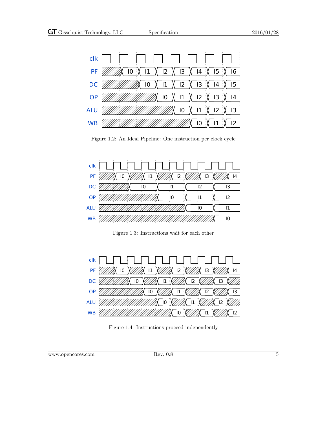

<span id="page-12-0"></span>Figure 1.2: An Ideal Pipeline: One instruction per clock cycle



<span id="page-12-1"></span>Figure 1.3: Instructions wait for each other



<span id="page-12-2"></span>Figure 1.4: Instructions proceed independently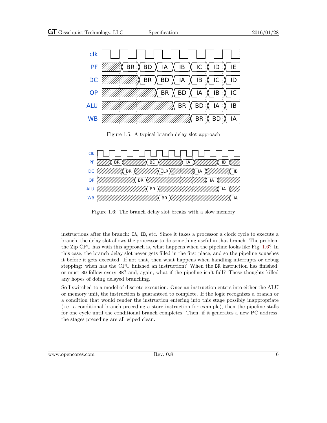

<span id="page-13-0"></span>Figure 1.5: A typical branch delay slot approach



<span id="page-13-1"></span>Figure 1.6: The branch delay slot breaks with a slow memory

instructions after the branch: IA, IB, etc. Since it takes a processor a clock cycle to execute a branch, the delay slot allows the processor to do something useful in that branch. The problem the Zip CPU has with this approach is, what happens when the pipeline looks like Fig. [1.6?](#page-13-1) In this case, the branch delay slot never gets filled in the first place, and so the pipeline squashes it before it gets executed. If not that, then what happens when handling interrupts or debug stepping: when has the CPU finished an instruction? When the BR instruction has finished, or must BD follow every BR? and, again, what if the pipeline isn't full? These thoughts killed any hopes of doing delayed branching.

So I switched to a model of discrete execution: Once an instruction enters into either the ALU or memory unit, the instruction is guaranteed to complete. If the logic recognizes a branch or a condition that would render the instruction entering into this stage possibly inappropriate (i.e. a conditional branch preceding a store instruction for example), then the pipeline stalls for one cycle until the conditional branch completes. Then, if it generates a new PC address, the stages preceding are all wiped clean.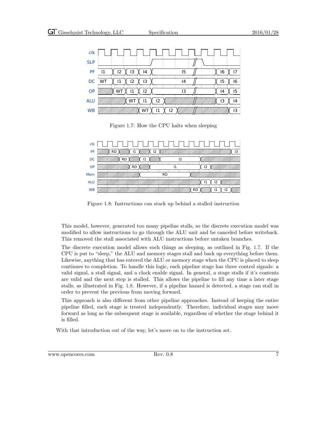

<span id="page-14-0"></span>Figure 1.7: How the CPU halts when sleeping

| clk        |    | .         |  |
|------------|----|-----------|--|
| PF         | RD |           |  |
| DC         | PГ | 12        |  |
| <b>OP</b>  |    |           |  |
| Mem        |    | <b>RD</b> |  |
| <b>ALU</b> |    |           |  |
| <b>WB</b>  |    |           |  |

<span id="page-14-1"></span>Figure 1.8: Instructions can stack up behind a stalled instruction

This model, however, generated too many pipeline stalls, so the discrete execution model was modified to allow instructions to go through the ALU unit and be canceled before writeback. This removed the stall associated with ALU instructions before untaken branches.

The discrete execution model allows such things as sleeping, as outlined in Fig. [1.7.](#page-14-0) If the CPU is put to "sleep," the ALU and memory stages stall and back up everything before them. Likewise, anything that has entered the ALU or memory stage when the CPU is placed to sleep continues to completion. To handle this logic, each pipeline stage has three control signals: a valid signal, a stall signal, and a clock enable signal. In general, a stage stalls if it's contents are valid and the next step is stalled. This allows the pipeline to fill any time a later stage stalls, as illustrated in Fig. [1.8.](#page-14-1) However, if a pipeline hazard is detected, a stage can stall in order to prevent the previous from moving forward.

This approach is also different from other pipeline approaches. Instead of keeping the entire pipeline filled, each stage is treated independently. Therefore, individual stages may move forward as long as the subsequent stage is available, regardless of whether the stage behind it is filled.

With that introduction out of the way, let's move on to the instruction set.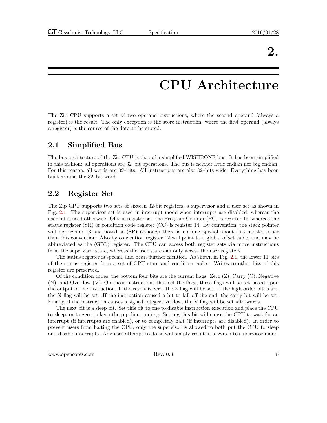## CPU Architecture

<span id="page-15-0"></span>The Zip CPU supports a set of two operand instructions, where the second operand (always a register) is the result. The only exception is the store instruction, where the first operand (always a register) is the source of the data to be stored.

### <span id="page-15-1"></span>2.1 Simplified Bus

The bus architecture of the Zip CPU is that of a simplified WISHBONE bus. It has been simplified in this fashion: all operations are 32–bit operations. The bus is neither little endian nor big endian. For this reason, all words are 32–bits. All instructions are also 32–bits wide. Everything has been built around the 32–bit word.

### <span id="page-15-2"></span>2.2 Register Set

The Zip CPU supports two sets of sixteen 32-bit registers, a supervisor and a user set as shown in Fig. [2.1.](#page-16-0) The supervisor set is used in interrupt mode when interrupts are disabled, whereas the user set is used otherwise. Of this register set, the Program Counter (PC) is register 15, whereas the status register (SR) or condition code register (CC) is register 14. By convention, the stack pointer will be register 13 and noted as  $(SP)$ –although there is nothing special about this register other than this convention. Also by convention register 12 will point to a global offset table, and may be abbreviated as the (GBL) register. The CPU can access both register sets via move instructions from the supervisor state, whereas the user state can only access the user registers.

The status register is special, and bears further mention. As shown in Fig. [2.1,](#page-16-1) the lower 11 bits of the status register form a set of CPU state and condition codes. Writes to other bits of this register are preserved.

Of the condition codes, the bottom four bits are the current flags: Zero  $(Z)$ , Carry  $(C)$ , Negative (N), and Overflow (V). On those instructions that set the flags, these flags will be set based upon the output of the instruction. If the result is zero, the Z flag will be set. If the high order bit is set, the N flag will be set. If the instruction caused a bit to fall off the end, the carry bit will be set. Finally, if the instruction causes a signed integer overflow, the V flag will be set afterwards.

The next bit is a sleep bit. Set this bit to one to disable instruction execution and place the CPU to sleep, or to zero to keep the pipeline running. Setting this bit will cause the CPU to wait for an interrupt (if interrupts are enabled), or to completely halt (if interrupts are disabled). In order to prevent users from halting the CPU, only the supervisor is allowed to both put the CPU to sleep and disable interrupts. Any user attempt to do so will simply result in a switch to supervisor mode.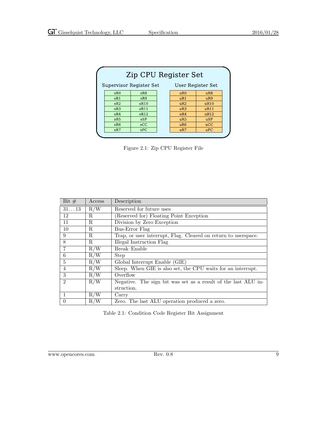| Zip CPU Register Set                         |      |  |     |                |  |  |  |
|----------------------------------------------|------|--|-----|----------------|--|--|--|
| Supervisor Register Set<br>User Register Set |      |  |     |                |  |  |  |
| sR0                                          | sR8  |  | uR0 | uR8            |  |  |  |
| sR1                                          | sR9  |  | uR1 | uR9            |  |  |  |
| sR2                                          | sR10 |  | uR2 | uR10           |  |  |  |
| sR3                                          | sR11 |  | uR3 | uR11           |  |  |  |
| sR4                                          | sR12 |  | uR4 | uR12           |  |  |  |
| sR5                                          | sSP  |  | uR5 | $\mathbf{uSP}$ |  |  |  |
| sR6                                          | SCC  |  | uR6 | ucC            |  |  |  |
| sR7                                          | SPC  |  | uR7 | uPC            |  |  |  |

<span id="page-16-0"></span>Figure 2.1: Zip CPU Register File

| Bit $#$        | Access | Description                                                    |
|----------------|--------|----------------------------------------------------------------|
| $31\ldots 13$  | R/W    | Reserved for future uses                                       |
| 12             | R      | (Reserved for) Floating Point Exception                        |
| 11             | R      | Division by Zero Exception                                     |
| 10             | R      | Bus-Error Flag                                                 |
| 9              | R      | Trap, or user interrupt, Flag. Cleared on return to userspace. |
| 8              | R.     | Illegal Instruction Flag                                       |
| 7              | R/W    | Break-Enable                                                   |
| 6              | R/W    | <b>Step</b>                                                    |
| 5              | R/W    | Global Interrupt Enable (GIE)                                  |
| 4              | R/W    | Sleep. When GIE is also set, the CPU waits for an interrupt.   |
| 3              | R/W    | Overflow                                                       |
| $\mathfrak{D}$ | R/W    | Negative. The sign bit was set as a result of the last ALU in- |
|                |        | struction.                                                     |
| $\mathbf{1}$   | R/W    | Carry                                                          |
| $\theta$       | R/W    | Zero. The last ALU operation produced a zero.                  |

<span id="page-16-1"></span>Table 2.1: Condition Code Register Bit Assignment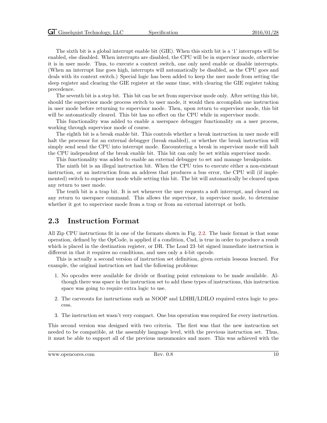The sixth bit is a global interrupt enable bit (GIE). When this sixth bit is a '1' interrupts will be enabled, else disabled. When interrupts are disabled, the CPU will be in supervisor mode, otherwise it is in user mode. Thus, to execute a context switch, one only need enable or disable interrupts. (When an interrupt line goes high, interrupts will automatically be disabled, as the CPU goes and deals with its context switch.) Special logic has been added to keep the user mode from setting the sleep register and clearing the GIE register at the same time, with clearing the GIE register taking precedence.

The seventh bit is a step bit. This bit can be set from supervisor mode only. After setting this bit, should the supervisor mode process switch to user mode, it would then accomplish one instruction in user mode before returning to supervisor mode. Then, upon return to supervisor mode, this bit will be automatically cleared. This bit has no effect on the CPU while in supervisor mode.

This functionality was added to enable a userspace debugger functionality on a user process, working through supervisor mode of course.

The eighth bit is a break enable bit. This controls whether a break instruction in user mode will halt the processor for an external debugger (break enabled), or whether the break instruction will simply send send the CPU into interrupt mode. Encountering a break in supervisor mode will halt the CPU independent of the break enable bit. This bit can only be set within supervisor mode.

This functionality was added to enable an external debugger to set and manage breakpoints.

The ninth bit is an illegal instruction bit. When the CPU tries to execute either a non-existant instruction, or an instruction from an address that produces a bus error, the CPU will (if implemented) switch to supervisor mode while setting this bit. The bit will automatically be cleared upon any return to user mode.

The tenth bit is a trap bit. It is set whenever the user requests a soft interrupt, and cleared on any return to userspace command. This allows the supervisor, in supervisor mode, to determine whether it got to supervisor mode from a trap or from an external interrupt or both.

#### <span id="page-17-0"></span>2.3 Instruction Format

All Zip CPU instructions fit in one of the formats shown in Fig. [2.2.](#page-18-1) The basic format is that some operation, defined by the OpCode, is applied if a condition, Cnd, is true in order to produce a result which is placed in the destination register, or DR. The Load 23–bit signed immediate instruction is different in that it requires no conditions, and uses only a 4-bit opcode.

This is actually a second version of instruction set definition, given certain lessons learned. For example, the original instruction set had the following problems:

- 1. No opcodes were available for divide or floating point extensions to be made available. Although there was space in the instruction set to add these types of instructions, this instruction space was going to require extra logic to use.
- 2. The carveouts for instructions such as NOOP and LDIHI/LDILO required extra logic to process.
- 3. The instruction set wasn't very compact. One bus operation was required for every instruction.

This second version was designed with two criteria. The first was that the new instruction set needed to be compatible, at the assembly language level, with the previous instruction set. Thus, it must be able to support all of the previous menumonics and more. This was achieved with the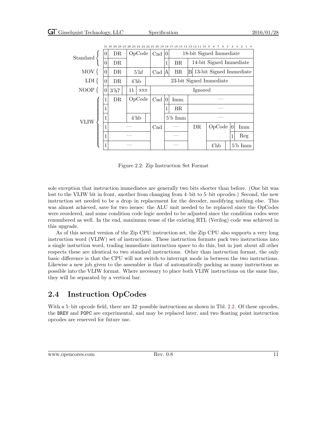|          | 31 30 29 28 27 26 25 24 23 22 21 20 19 18 17 16 15 14 13 12 11 10 9 8 7 6 5 4 3 2 1 0 |      |    |                 |                 |                                                   |                   |     |                         |  |          |            |
|----------|---------------------------------------------------------------------------------------|------|----|-----------------|-----------------|---------------------------------------------------|-------------------|-----|-------------------------|--|----------|------------|
| Standard | $\theta$                                                                              | DR   |    | OpCode          |                 | 18-bit Signed Immediate<br>Cnd<br>$\overline{10}$ |                   |     |                         |  |          |            |
|          | $\overline{0}$                                                                        | DR   |    |                 |                 | 1                                                 | <b>BR</b>         |     | 14-bit Signed Immediate |  |          |            |
| $MOV$ {  | $\theta$                                                                              | DR.  |    | $5'$ hf         |                 | C <sub>nd</sub><br>IA                             | BR.               | B   | 13-bit Signed Immediate |  |          |            |
| $LDI\{$  | 0                                                                                     | DR.  |    | $4'$ hb         |                 | 23-bit Signed Immediate                           |                   |     |                         |  |          |            |
| $NOOP$ { | 0                                                                                     | 3'h7 | 11 | <b>XXX</b>      |                 | Ignored                                           |                   |     |                         |  |          |            |
|          |                                                                                       | DR   |    | OpCode          | Cnd             | 10                                                | Imm.              |     |                         |  |          |            |
|          | 1                                                                                     |      |    |                 |                 |                                                   | BR.               |     |                         |  |          |            |
| VLIW     | 1                                                                                     |      |    | $4^{\prime}$ hb |                 |                                                   | $5^{\prime}b$ Imm |     |                         |  |          |            |
|          |                                                                                       |      |    |                 | C <sub>nd</sub> |                                                   |                   | DR. | OpCode                  |  | $\Omega$ | Imm        |
|          | 1                                                                                     |      |    |                 |                 |                                                   |                   |     |                         |  |          | Reg        |
|          |                                                                                       |      |    |                 |                 |                                                   |                   |     | $4^{\prime}$ hb         |  |          | $5$ 'b Imm |

031 02 29 28 27 26 25 24 23 22 21 20 19 18 17 16 15 14 13 12 11 10 9 8 7 6 5 4 3 2 1 0

<span id="page-18-1"></span>Figure 2.2: Zip Instruction Set Format

sole exception that instruction immediates are generally two bits shorter than before. (One bit was lost to the VLIW bit in front, another from changing from 4–bit to 5–bit opcodes.) Second, the new instruction set needed to be a drop–in replacement for the decoder, modifying nothing else. This was almost achieved, save for two issues: the ALU unit needed to be replaced since the OpCodes were reordered, and some condition code logic needed to be adjusted since the condition codes were renumbered as well. In the end, maximum reuse of the existing RTL (Verilog) code was achieved in this upgrade.

As of this second version of the Zip CPU instruction set, the Zip CPU also supports a very long instruction word (VLIW) set of instructions. These instruction formats pack two instructions into a single instuction word, trading immediate instruction space to do this, but in just about all other respects these are identical to two standard instructions. Other than instruction format, the only basic difference is that the CPU will not switch to interrupt mode in between the two instructions. Likewise a new job given to the assembler is that of automatically packing as many instructions as possible into the VLIW format. Where necessary to place both VLIW instructions on the same line, they will be separated by a vertical bar.

## <span id="page-18-0"></span>2.4 Instruction OpCodes

With a 5–bit opcode field, there are 32–possible instructions as shown in Tbl. [2.2.](#page-19-0) Of these opcodes, the BREV and POPC are experimental, and may be replaced later, and two floating point instruction opcodes are reserved for future use.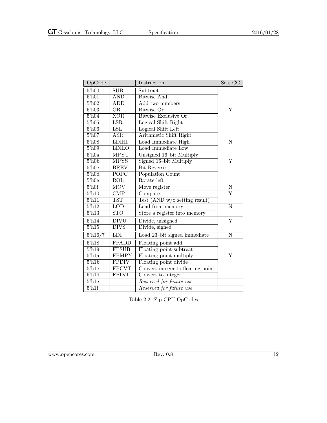| OpCode                        |                            | Instruction                       | Sets CC                 |
|-------------------------------|----------------------------|-----------------------------------|-------------------------|
| $5'$ h00                      | <b>SUB</b>                 | Subtract                          |                         |
| $5\overline{h01}$             | $\overline{\mathrm{AND}}$  | <b>Bitwise And</b>                |                         |
| $5^{\prime}$ h02              | ADD                        | Add two numbers                   |                         |
| $5'$ h $03$                   | <b>OR</b>                  | Bitwise Or                        | Υ                       |
| 5 <sup>h</sup> 04             | <b>XOR</b>                 | <b>Bitwise Exclusive Or</b>       |                         |
| $5^{\prime}$ h05              | $\overline{\text{LSR}}$    | Logical Shift Right               |                         |
| $5^{\prime}$ h06              | $\overline{\text{LSL}}$    | Logical Shift Left                |                         |
| $5^\prime h07$                | $_{\rm ASR}$               | Arithmetic Shift Right            |                         |
| $5^\prime h08$                | <b>LDIHI</b>               | Load Immediate High               | N                       |
| $5^{\prime}h09$               | <b>LDILO</b>               | Load Immediate Low                |                         |
| $5'$ h0a                      | <b>MPYU</b>                | Unsigned 16-bit Multiply          |                         |
| $5'$ h $0b$                   | <b>MPYS</b>                | Signed 16-bit Multiply            | Y                       |
| $5^{\prime}$ h0c              | <b>BREV</b>                | <b>Bit Reverse</b>                |                         |
| 5 <sup>h</sup> 0d             | <b>POPC</b>                | Population Count                  |                         |
| $5^{\prime}$ h0e              | <b>ROL</b>                 | Rotate left                       |                         |
| $5^{\prime}$ h $0$ f          | <b>MOV</b>                 | Move register                     | N                       |
| $5^{\prime}$ h <sub>10</sub>  | $\overline{\text{CMP}}$    | Compare                           | Y                       |
| $\overline{5\text{h}11}$      | <b>TST</b>                 | Test $(AND w/o$ setting result)   |                         |
| $5^{\prime}$ h12              | $\overline{\text{LOD}}$    | Load from memory                  | $\overline{\text{N}}$   |
| $5^{\prime}$ h13              | $\overline{\text{STO}}$    | Store a register into memory      |                         |
| $5^{\prime}$ h14              | <b>DIVU</b>                | Divide, unsigned                  | $\overline{\mathrm{Y}}$ |
| $5^{\prime}$ h15              | $\overline{\mathrm{DIVS}}$ | Divide, signed                    |                         |
| $5\frac{\ln 16}{7}$           | LDI                        | Load 23-bit signed immediate      | N                       |
| $5'$ h $18$                   | <b>FPADD</b>               | Floating point add                |                         |
| $5^{\prime}$ h <sub>19</sub>  | <b>FPSUB</b>               | Floating point subtract           |                         |
| $5'$ h <sub>1a</sub>          | <b>FPMPY</b>               | Floating point multiply           | Υ                       |
| $5^{\prime}$ h <sub>1</sub> b | <b>FPDIV</b>               | Floating point divide             |                         |
| $5'$ h <sub>1c</sub>          | <b>FPCVT</b>               | Convert integer to floating point |                         |
| $5^{\prime}$ h1d              | <b>FPINT</b>               | Convert to integer                |                         |
| $5\overline{h1}$ e            |                            | Reserved for future use           |                         |
| $5^{\prime}$ h <sub>1f</sub>  |                            | Reserved for future use           |                         |

<span id="page-19-0"></span>Table 2.2: Zip CPU OpCodes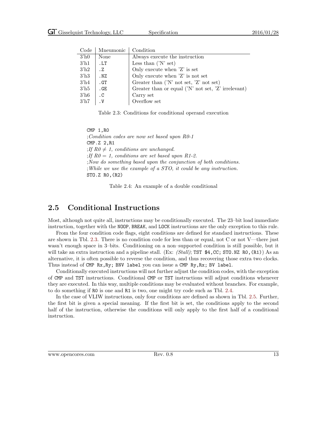| ooue.            | мпечношс  | \ /\ <i>)</i>   \  \  \ \ <i>)</i>                                   |
|------------------|-----------|----------------------------------------------------------------------|
| 3 <sup>h</sup> 0 | None      | Always execute the instruction                                       |
| $3'$ h1          | .LT       | Less than $(N \text{ set})$                                          |
| 3 <sup>h2</sup>  | . Z       | Only execute when $Z'$ is set                                        |
| 3 <sup>h3</sup>  | .NZ       | Only execute when 'Z' is not set                                     |
| $3'$ h4          | .GT       | Greater than $('N' not set, 'Z' not set)$                            |
| $3^{\prime}$ h5  | .GE       | Greater than or equal $(N' \text{ not set}, 'Z' \text{ irrelevant})$ |
| $3'$ h6          | $\cdot$ C | Carry set                                                            |
| 3'h7             | . V       | Overflow set                                                         |
|                  |           |                                                                      |

Code | Mneumonic | Condition

<span id="page-20-1"></span>Table 2.3: Conditions for conditional operand execution

CMP 1,R0 ;Condition codes are now set based upon R0-1 CMP.Z 2,R1 ; If  $R0 \neq 1$ , conditions are unchanged. ; If  $R0 = 1$ , conditions are set based upon R1-2. ;Now do something based upon the conjunction of both conditions. ;While we use the example of a STO, it could be any instruction. STO.Z R0,(R2)

<span id="page-20-2"></span>Table 2.4: An example of a double conditional

#### <span id="page-20-0"></span>2.5 Conditional Instructions

Most, although not quite all, instructions may be conditionally executed. The 23–bit load immediate instruction, together with the NOOP, BREAK, and LOCK instructions are the only exception to this rule.

From the four condition code flags, eight conditions are defined for standard instructions. These are shown in Tbl. [2.3.](#page-20-1) There is no condition code for less than or equal, not C or not V—there just wasn't enough space in 3–bits. Conditioning on a non–supported condition is still possible, but it will take an extra instruction and a pipeline stall. (Ex:  $(Stall)$ ; TST \$4,CC; STO.NZ RO, (R1)) As an alternative, it is often possible to reverse the condition, and thus recovering those extra two clocks. Thus instead of CMP Rx,Ry; BNV label you can issue a CMP Ry,Rx; BV label.

Conditionally executed instructions will not further adjust the condition codes, with the exception of CMP and TST instructions. Conditional CMP or TST instructions will adjust conditions whenever they are executed. In this way, multiple conditions may be evaluated without branches. For example, to do something if R0 is one and R1 is two, one might try code such as Tbl. [2.4.](#page-20-2)

In the case of VLIW instructions, only four conditions are defined as shown in Tbl. [2.5.](#page-21-2) Further, the first bit is given a special meaning. If the first bit is set, the conditions apply to the second half of the instruction, otherwise the conditions will only apply to the first half of a conditional instruction.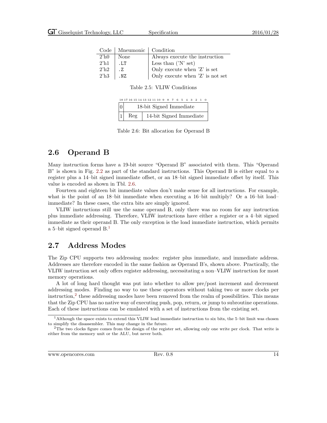| $\rm Code$         | Mneumonic   Condition |                                   |
|--------------------|-----------------------|-----------------------------------|
| $2^{\prime}$ h $0$ | None                  | Always execute the instruction    |
| 2 <sup>h1</sup>    | .1.T                  | Less than $('N' set)$             |
| $2^{\prime}$ h $2$ | .7.                   | Only execute when 'Z' is set      |
| $2^{\prime}$ h $3$ | . NZ                  | Only execute when $Z'$ is not set |

<span id="page-21-2"></span>Table 2.5: VLIW Conditions

 $18\ 17\ 16\ 15\ 14\ 13\ 12\ 11\ 10\ \ 9\quad 8\quad 7\quad 6\quad 5\quad 4\quad 3\quad 2\quad 1\quad 0$ 

| 0 | 18-bit Signed Immediate |                         |  |  |  |  |
|---|-------------------------|-------------------------|--|--|--|--|
| 1 | Reg                     | 14-bit Signed Immediate |  |  |  |  |

<span id="page-21-3"></span>Table 2.6: Bit allocation for Operand B

### <span id="page-21-0"></span>2.6 Operand B

Many instruction forms have a 19-bit source "Operand B" associated with them. This "Operand B" is shown in Fig. [2.2](#page-18-1) as part of the standard instructions. This Operand B is either equal to a register plus a 14–bit signed immediate offset, or an 18–bit signed immediate offset by itself. This value is encoded as shown in Tbl. [2.6.](#page-21-3)

Fourteen and eighteen bit immediate values don't make sense for all instructions. For example, what is the point of an 18–bit immediate when executing a 16–bit multiply? Or a 16–bit load– immediate? In these cases, the extra bits are simply ignored.

VLIW instructions still use the same operand B, only there was no room for any instruction plus immediate addressing. Therefore, VLIW instructions have either a register or a 4–bit signed immediate as their operand B. The only exception is the load immediate instruction, which permits a 5–bit signed operand B.[1](#page-21-4)

#### <span id="page-21-1"></span>2.7 Address Modes

The Zip CPU supports two addressing modes: register plus immediate, and immediate address. Addresses are therefore encoded in the same fashion as Operand B's, shown above. Practically, the VLIW instruction set only offers register addressing, necessitating a non–VLIW instruction for most memory operations.

A lot of long hard thought was put into whether to allow pre/post increment and decrement addressing modes. Finding no way to use these operators without taking two or more clocks per instruction,[2](#page-21-5) these addressing modes have been removed from the realm of possibilities. This means that the Zip CPU has no native way of executing push, pop, return, or jump to subroutine operations. Each of these instructions can be emulated with a set of instructions from the existing set.

<span id="page-21-4"></span><sup>&</sup>lt;sup>1</sup>Although the space exists to extend this VLIW load immediate instruction to six bits, the 5-bit limit was chosen to simplify the disassembler. This may change in the future.

<span id="page-21-5"></span><sup>&</sup>lt;sup>2</sup>The two clocks figure comes from the design of the register set, allowing only one write per clock. That write is either from the memory unit or the ALU, but never both.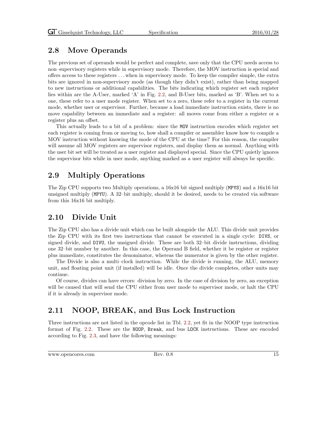### <span id="page-22-0"></span>2.8 Move Operands

The previous set of operands would be perfect and complete, save only that the CPU needs access to non–supervisory registers while in supervisory mode. Therefore, the MOV instruction is special and offers access to these registers . . . when in supervisory mode. To keep the compiler simple, the extra bits are ignored in non-supervisory mode (as though they didn't exist), rather than being mapped to new instructions or additional capabilities. The bits indicating which register set each register lies within are the A-User, marked 'A' in Fig. [2.2,](#page-18-1) and B-User bits, marked as 'B'. When set to a one, these refer to a user mode register. When set to a zero, these refer to a register in the current mode, whether user or supervisor. Further, because a load immediate instruction exists, there is no move capability between an immediate and a register: all moves come from either a register or a register plus an offset.

This actually leads to a bit of a problem: since the MOV instruction encodes which register set each register is coming from or moving to, how shall a compiler or assembler know how to compile a MOV instruction without knowing the mode of the CPU at the time? For this reason, the compiler will assume all MOV registers are supervisor registers, and display them as normal. Anything with the user bit set will be treated as a user register and displayed special. Since the CPU quietly ignores the supervisor bits while in user mode, anything marked as a user register will always be specific.

### <span id="page-22-1"></span>2.9 Multiply Operations

The Zip CPU supports two Multiply operations, a 16x16 bit signed multiply (MPYS) and a 16x16 bit unsigned multiply (MPYU). A 32–bit multiply, should it be desired, needs to be created via software from this 16x16 bit multiply.

### <span id="page-22-2"></span>2.10 Divide Unit

The Zip CPU also has a divide unit which can be built alongside the ALU. This divide unit provides the Zip CPU with its first two instructions that cannot be executed in a single cycle: DIVS, or signed divide, and DIVU, the unsigned divide. These are both 32–bit divide instructions, dividing one 32–bit number by another. In this case, the Operand B field, whether it be register or register plus immediate, constitutes the denominator, whereas the numerator is given by the other register.

The Divide is also a multi–clock instruction. While the divide is running, the ALU, memory unit, and floating point unit (if installed) will be idle. Once the divide completes, other units may continue.

Of course, divides can have errors: division by zero. In the case of division by zero, an exception will be caused that will send the CPU either from user mode to supervisor mode, or halt the CPU if it is already in supervisor mode.

### <span id="page-22-3"></span>2.11 NOOP, BREAK, and Bus Lock Instruction

Three instructions are not listed in the opcode list in Tbl. [2.2,](#page-19-0) yet fit in the NOOP type instruction format of Fig. [2.2.](#page-18-1) These are the NOOP, Break, and bus LOCK instructions. These are encoded according to Fig. [2.3,](#page-23-2) and have the following meanings: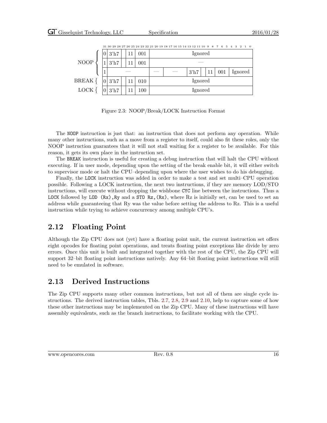|              |   |         |  |     |         | 31 30 29 28 27 26 25 24 23 22 21 20 19 18 17 16 15 14 13 12 11 10 9 8 7 6 5 4 3 2 1 0 |         |    |     |         |
|--------------|---|---------|--|-----|---------|---------------------------------------------------------------------------------------|---------|----|-----|---------|
|              |   | $3'$ h7 |  | 001 |         | Ignored                                                                               |         |    |     |         |
| <b>NOOP</b>  |   | $3'$ h7 |  | 001 |         |                                                                                       |         |    |     |         |
|              | T |         |  |     |         |                                                                                       | $3'$ h7 | 11 | 001 | Ignored |
| <b>BREAK</b> |   | $3'$ h7 |  | 010 |         |                                                                                       | Ignored |    |     |         |
| LOCK         |   | 3'h7    |  | 100 | Ignored |                                                                                       |         |    |     |         |

<span id="page-23-2"></span>Figure 2.3: NOOP/Break/LOCK Instruction Format

The NOOP instruction is just that: an instruction that does not perform any operation. While many other instructions, such as a move from a register to itself, could also fit these roles, only the NOOP instruction guarantees that it will not stall waiting for a register to be available. For this reason, it gets its own place in the instruction set.

The BREAK instruction is useful for creating a debug instruction that will halt the CPU without executing. If in user mode, depending upon the setting of the break enable bit, it will either switch to supervisor mode or halt the CPU–depending upon where the user wishes to do his debugging.

Finally, the LOCK instruction was added in order to make a test and set multi–CPU operation possible. Following a LOCK instruction, the next two instructions, if they are memory LOD/STO instructions, will execute without dropping the wishbone CYC line between the instructions. Thus a LOCK followed by LOD  $(Rx)$ , Ry and a STO  $Rz$ ,  $(Rx)$ , where Rz is initially set, can be used to set an address while guaranteeing that Ry was the value before setting the address to Rz. This is a useful instruction while trying to achieve concurrency among multiple CPU's.

## <span id="page-23-0"></span>2.12 Floating Point

Although the Zip CPU does not (yet) have a floating point unit, the current instruction set offers eight opcodes for floating point operations, and treats floating point exceptions like divide by zero errors. Once this unit is built and integrated together with the rest of the CPU, the Zip CPU will support 32–bit floating point instructions natively. Any 64–bit floating point instructions will still need to be emulated in software.

### <span id="page-23-1"></span>2.13 Derived Instructions

The Zip CPU supports many other common instructions, but not all of them are single cycle instructions. The derived instruction tables, Tbls. [2.7,](#page-24-0) [2.8,](#page-25-0) [2.9](#page-26-0) and [2.10,](#page-27-0) help to capture some of how these other instructions may be implemented on the Zip CPU. Many of these instructions will have assembly equivalents, such as the branch instructions, to facilitate working with the CPU.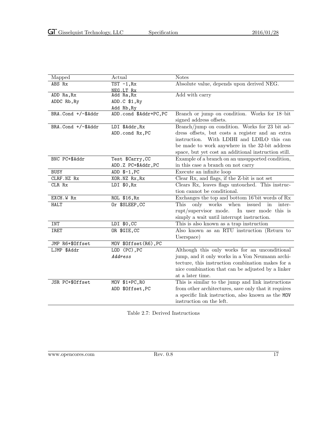| Mapped             | Actual                 | <b>Notes</b>                                                             |
|--------------------|------------------------|--------------------------------------------------------------------------|
| ABS Rx             | $TST -1, Rx$           | Absolute value, depends upon derived NEG.                                |
|                    | NEG.LT Rx              |                                                                          |
| ADD Ra, Rx         | Add Ra, Rx             | Add with carry                                                           |
| ADDC Rb, Ry        | ADD.C \$1, Ry          |                                                                          |
|                    | Add Rb, Ry             |                                                                          |
| BRA.Cond +/-\$Addr | ADD.cond \$Addr+PC, PC | Branch or jump on condition. Works for 18-bit<br>signed address offsets. |
| BRA.Cond +/-\$Addr | LDI \$Addr, Rx         | Branch/jump on condition. Works for 23 bit ad-                           |
|                    | ADD.cond Rx, PC        | dress offsets, but costs a register and an extra                         |
|                    |                        | instruction. With LDIHI and LDILO this can                               |
|                    |                        | be made to work anywhere in the 32-bit address                           |
|                    |                        | space, but yet cost an additional instruction still.                     |
| BNC PC+\$Addr      | Test \$Carry, CC       | Example of a branch on an unsupported condition,                         |
|                    | ADD.Z PC+\$Addr, PC    | in this case a branch on not carry                                       |
| <b>BUSY</b>        | ADD $$-1, PC$          | Execute an infinite loop                                                 |
| CLRF.NZ Rx         | XOR.NZ Rx, Rx          | Clear Rx, and flags, if the Z-bit is not set                             |
| CLR Rx             | LDI \$0, Rx            | Clears Rx, leaves flags untouched. This instruc-                         |
|                    |                        | tion cannot be conditional.                                              |
| EXCH.W Rx          | ROL \$16, Rx           | Exchanges the top and bottom 16'bit words of Rx                          |
| <b>HALT</b>        | Or \$SLEEP, CC         | works<br>when<br>issued<br>only<br>This<br>in<br>inter-                  |
|                    |                        | rupt/supervisor mode.<br>In user mode this is                            |
|                    |                        | simply a wait until interrupt instruction.                               |
| INT                | LDI \$0,CC             | This is also known as a trap instruction                                 |
| <b>IRET</b>        | OR \$GIE, CC           | Also known as an RTU instruction (Return to                              |
|                    |                        | Userspace)                                                               |
| JMP R6+\$Offset    | MOV \$0ffset(R6), PC   |                                                                          |
| LJMP \$Addr        | LOD (PC), PC           | Although this only works for an unconditional                            |
|                    | Address                | jump, and it only works in a Von Neumann archi-                          |
|                    |                        | tecture, this instruction combination makes for a                        |
|                    |                        | nice combination that can be adjusted by a linker                        |
|                    |                        | at a later time.                                                         |
| JSR PC+\$Offset    | MOV \$1+PC, RO         | This is similar to the jump and link instructions                        |
|                    | ADD \$0ffset, PC       | from other architectures, save only that it requires                     |
|                    |                        | a specific link instruction, also known as the MOV                       |
|                    |                        | instruction on the left.                                                 |

<span id="page-24-0"></span>Table 2.7: Derived Instructions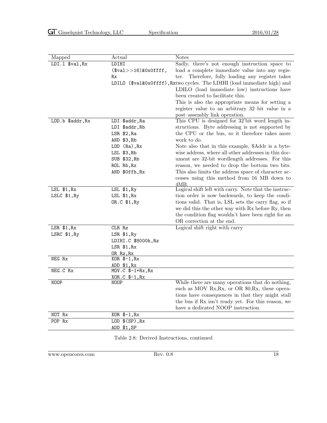|                  |                         | <b>Notes</b>                                                             |
|------------------|-------------------------|--------------------------------------------------------------------------|
| Mapped           | Actual                  |                                                                          |
| LDI.1 \$val, Rx  | LDIHI                   | Sadly, there's not enough instruction space to                           |
|                  | $($val>>16)$ & OxOffff, | load a complete immediate value into any regis-                          |
|                  | Rx                      | Therefore, fully loading any register takes<br>ter.                      |
|                  |                         | LDILO (\$val&0x0ffff), Rxtwo cycles. The LDIHI (load immediate high) and |
|                  |                         | LDILO (load immediate low) instructions have                             |
|                  |                         | been created to facilitate this.                                         |
|                  |                         | This is also the appropriate means for setting a                         |
|                  |                         | register value to an arbitrary 32-bit value in a                         |
|                  |                         | post-assembly link operation.                                            |
| LOD.b \$addr, Rx | LDI \$addr, Ra          | This CPU is designed for 32'bit word length in-                          |
|                  | LDI \$addr, Rb          | structions. Byte addressing is not supported by                          |
|                  | LSR \$2, Ra             | the CPU or the bus, so it therefore takes more                           |
|                  | AND \$3, Rb             | work to do.                                                              |
|                  | LOD (Ra), Rx            | Note also that in this example, \$Addr is a byte-                        |
|                  | LSL \$3, Rb             | wise address, where all other addresses in this doc-                     |
|                  | SUB \$32, Rb            | ument are 32-bit wordlength addresses. For this                          |
|                  | ROL Rb, Rx              | reason, we needed to drop the bottom two bits.                           |
|                  | AND \$0ffh, Rx          | This also limits the address space of character ac-                      |
|                  |                         | cesses using this method from 16 MB down to                              |
|                  |                         | 4MB.                                                                     |
| LSL \$1, Rx      | LSL \$1, Ry             | Logical shift left with carry. Note that the instruc-                    |
| LSLC \$1, Ry     | LSL \$1, Rx             | tion order is now backwards, to keep the condi-                          |
|                  | OR.C \$1, Ry            | tions valid. That is, LSL sets the carry flag, so if                     |
|                  |                         | we did this the other way with Rx before Ry, then                        |
|                  |                         | the condition flag wouldn't have been right for an                       |
|                  |                         | OR correction at the end.                                                |
| LSR \$1, Rx      | $CLR$ $Rz$              | Logical shift right with carry                                           |
| LSRC \$1, Ry     | LSR \$1, Ry             |                                                                          |
|                  | LDIHI.C \$8000h, Rz     |                                                                          |
|                  | LSR \$1, Rx             |                                                                          |
|                  | OR Rz,Rx                |                                                                          |
| NEG Rx           | $XOR$ $$-1, Rx$         |                                                                          |
|                  | ADD \$1, Rx             |                                                                          |
| NEG.C Rx         | MOV.C \$-1+Rx, Rx       |                                                                          |
| NOOP             | XOR.C \$-1, Rx<br>NOOP  | While there are many operations that do nothing,                         |
|                  |                         | such as MOV Rx, Rx, or OR \$0, Rx, these opera-                          |
|                  |                         | tions have consequences in that they might stall                         |
|                  |                         | the bus if Rx isn't ready yet. For this reason, we                       |
|                  |                         | have a dedicated NOOP instruction.                                       |
|                  |                         |                                                                          |
| NOT Rx           | XOR \$-1, Rx            |                                                                          |
| POP Rx           | $LOD$ $$(SP)$ , $Rx$    |                                                                          |
|                  | ADD \$1,SP              |                                                                          |

<span id="page-25-0"></span>Table 2.8: Derived Instructions, continued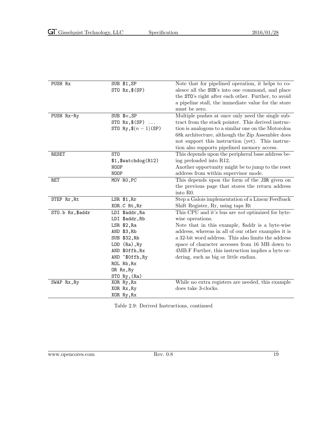| PUSH Rx          | SUB \$1,SP            | Note that for pipelined operation, it helps to co-  |
|------------------|-----------------------|-----------------------------------------------------|
|                  | STO Rx, \$(SP)        | alesce all the SUB's into one command, and place    |
|                  |                       | the STO's right after each other. Further, to avoid |
|                  |                       | a pipeline stall, the immediate value for the store |
|                  |                       | must be zero.                                       |
| PUSH Rx-Ry       | SUB $$n, SP$          | Multiple pushes at once only need the single sub-   |
|                  | STO $Rx$ , $$(SP)$    | tract from the stack pointer. This derived instruc- |
|                  |                       |                                                     |
|                  | STO Ry, $\$(n-1)(SP)$ | tion is analogous to a similar one on the Motoroloa |
|                  |                       | 68k architecture, although the Zip Assembler does   |
|                  |                       | not support this instruction (yet). This instruc-   |
|                  |                       | tion also supports pipelined memory access.         |
| RESET            | ST <sub>0</sub>       | This depends upon the peripheral base address be-   |
|                  | \$1,\$watchdog(R12)   | ing preloaded into R12.                             |
|                  | <b>NOOP</b>           | Another opportunity might be to jump to the reset   |
|                  | <b>NOOP</b>           | address from within supervisor mode.                |
| RET              | MOV RO, PC            | This depends upon the form of the JSR given on      |
|                  |                       | the previous page that stores the return address    |
|                  |                       | into R0.                                            |
| STEP Rr, Rt      | $LSR$ \$1, $Rr$       | Step a Galois implementation of a Linear Feedback   |
|                  | XOR.C Rt, Rr          | Shift Register, Rr, using taps Rt                   |
| STO.b Rx, \$addr | LDI \$addr, Ra        | This CPU and it's bus are not optimized for byte-   |
|                  | LDI \$addr, Rb        | wise operations.                                    |
|                  | LSR \$2, Ra           | Note that in this example, \$addr is a byte-wise    |
|                  | AND \$3, Rb           | address, whereas in all of our other examples it is |
|                  | SUB \$32, Rb          | a 32-bit word address. This also limits the address |
|                  | LOD (Ra), Ry          | space of character accesses from 16 MB down to      |
|                  | AND \$0ffh, Rx        | 4MB.F Further, this instruction implies a byte or-  |
|                  | AND ~\$0ffh, Ry       | dering, such as big or little endian.               |
|                  | ROL Rb, Rx            |                                                     |
|                  | OR Rx, Ry             |                                                     |
|                  | STO Ry, (Ra)          |                                                     |
| SWAP Rx, Ry      | XOR Ry, Rx            | While no extra registers are needed, this example   |
|                  | XOR Rx, Ry            | does take 3-clocks.                                 |
|                  | XOR Ry, Rx            |                                                     |

<span id="page-26-0"></span>Table 2.9: Derived Instructions, continued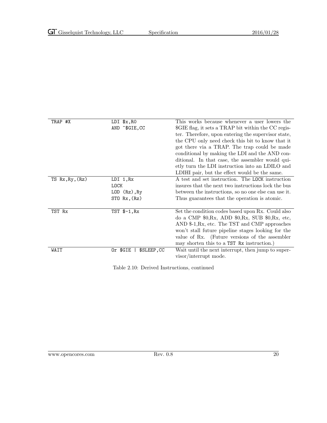| TRAP #X         | LDI \$x, RO<br>AND ~\$GIE, CC                     | This works because whenever a user lowers the<br>\$GIE flag, it sets a TRAP bit within the CC regis-<br>ter. Therefore, upon entering the supervisor state,<br>the CPU only need check this bit to know that it<br>got there via a TRAP. The trap could be made<br>conditional by making the LDI and the AND con-<br>ditional. In that case, the assembler would qui-<br>etly turn the LDI instruction into an LDILO and<br>LDIHI pair, but the effect would be the same. |
|-----------------|---------------------------------------------------|---------------------------------------------------------------------------------------------------------------------------------------------------------------------------------------------------------------------------------------------------------------------------------------------------------------------------------------------------------------------------------------------------------------------------------------------------------------------------|
| TS Rx, Ry, (Rz) | LDI 1, Rx<br>LOCK<br>LOD (Rz), Ry<br>ST0 Rx, (Rz) | A test and set instruction. The LOCK instruction<br>insures that the next two instructions lock the bus<br>between the instructions, so no one else can use it.<br>Thus guarantees that the operation is atomic.                                                                                                                                                                                                                                                          |
| TST Rx          | $TST$ $$-1, Rx$                                   | Set the condition codes based upon Rx. Could also<br>do a CMP $$0,Rx$ , ADD $$0,Rx$ , SUB $$0,Rx$ , etc,<br>AND \$-1, Rx, etc. The TST and CMP approaches<br>won't stall future pipeline stages looking for the<br>value of Rx. (Future versions of the assembler<br>may shorten this to a TST Rx instruction.)                                                                                                                                                           |
| WAIT            | Or \$GIE<br>\$SLEEP, CC                           | Wait until the next interrupt, then jump to super-<br>visor/interrupt mode.                                                                                                                                                                                                                                                                                                                                                                                               |

<span id="page-27-0"></span>Table 2.10: Derived Instructions, continued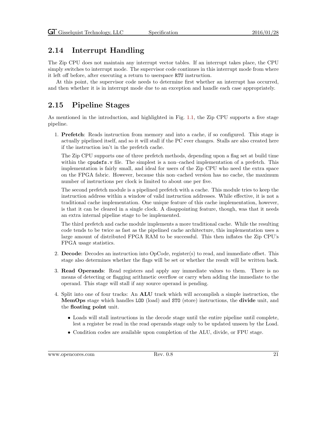### <span id="page-28-0"></span>2.14 Interrupt Handling

The Zip CPU does not maintain any interrupt vector tables. If an interrupt takes place, the CPU simply switches to interrupt mode. The supervisor code continues in this interrupt mode from where it left off before, after executing a return to userspace RTU instruction.

At this point, the supervisor code needs to determine first whether an interrupt has occurred, and then whether it is in interrupt mode due to an exception and handle each case appropriately.

### <span id="page-28-1"></span>2.15 Pipeline Stages

As mentioned in the introduction, and highlighted in Fig. [1.1,](#page-9-0) the Zip CPU supports a five stage pipeline.

1. Prefetch: Reads instruction from memory and into a cache, if so configured. This stage is actually pipelined itself, and so it will stall if the PC ever changes. Stalls are also created here if the instruction isn't in the prefetch cache.

The Zip CPU supports one of three prefetch methods, depending upon a flag set at build time within the cpudefs. v file. The simplest is a non–cached implementation of a prefetch. This implementation is fairly small, and ideal for users of the Zip CPU who need the extra space on the FPGA fabric. However, because this non–cached version has no cache, the maximum number of instructions per clock is limited to about one per five.

The second prefetch module is a pipelined prefetch with a cache. This module tries to keep the instruction address within a window of valid instruction addresses. While effective, it is not a traditional cache implementation. One unique feature of this cache implementation, however, is that it can be cleared in a single clock. A disappointing feature, though, was that it needs an extra internal pipeline stage to be implemented.

The third prefetch and cache module implements a more traditional cache. While the resulting code tends to be twice as fast as the pipelined cache architecture, this implementation uses a large amount of distributed FPGA RAM to be successful. This then inflates the Zip CPU's FPGA usage statistics.

- 2. Decode: Decodes an instruction into OpCode, register(s) to read, and immediate offset. This stage also determines whether the flags will be set or whether the result will be written back.
- 3. Read Operands: Read registers and apply any immediate values to them. There is no means of detecting or flagging arithmetic overflow or carry when adding the immediate to the operand. This stage will stall if any source operand is pending.
- 4. Split into one of four tracks: An ALU track which will accomplish a simple instruction, the MemOps stage which handles LOD (load) and STO (store) instructions, the divide unit, and the floating point unit.
	- Loads will stall instructions in the decode stage until the entire pipeline until complete, lest a register be read in the read operands stage only to be updated unseen by the Load.
	- Condition codes are available upon completion of the ALU, divide, or FPU stage.

www.opencores.com Rev. 0.8 21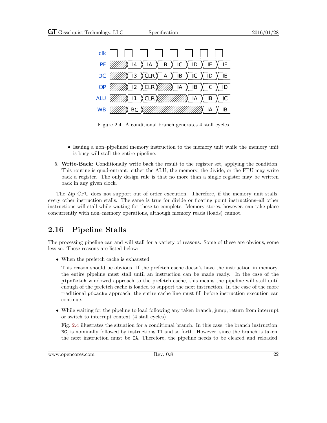| CIK                                                                                                                                                                                                |  |  |  |  |
|----------------------------------------------------------------------------------------------------------------------------------------------------------------------------------------------------|--|--|--|--|
| PF $\frac{1}{2}$ 14 \ IA \ IB \ IC \ ID \ IE \ IF                                                                                                                                                  |  |  |  |  |
| DC $\frac{1}{2}$ 13 \CLR \ IA \ IB \ IC \ ID \ IE                                                                                                                                                  |  |  |  |  |
| OP $\mathbb{Z}/\mathbb{Z}$ 12 $\overline{\phantom{a}}$ CLR $\overline{\phantom{a}}$ $\mathbb{Z}/\mathbb{Z}$ IA $\overline{\phantom{a}}$ IB $\overline{\phantom{a}}$ IC $\overline{\phantom{a}}$ ID |  |  |  |  |
| ALU $\sqrt{\frac{1}{\sqrt{2}}\sqrt{11}\sqrt{C}$ LR $\sqrt{\frac{1}{\sqrt{2}}\sqrt{\frac{1}{\sqrt{2}}\sqrt{11}}\sqrt{10}}$ (A $\sqrt{16}\sqrt{C}$                                                   |  |  |  |  |
|                                                                                                                                                                                                    |  |  |  |  |

<span id="page-29-1"></span>Figure 2.4: A conditional branch generates 4 stall cycles

- Issuing a non–pipelined memory instruction to the memory unit while the memory unit is busy will stall the entire pipeline.
- 5. Write-Back: Conditionally write back the result to the register set, applying the condition. This routine is quad-entrant: either the ALU, the memory, the divide, or the FPU may write back a register. The only design rule is that no more than a single register may be written back in any given clock.

The Zip CPU does not support out of order execution. Therefore, if the memory unit stalls, every other instruction stalls. The same is true for divide or floating point instructions–all other instructions will stall while waiting for these to complete. Memory stores, however, can take place concurrently with non–memory operations, although memory reads (loads) cannot.

### <span id="page-29-0"></span>2.16 Pipeline Stalls

The processing pipeline can and will stall for a variety of reasons. Some of these are obvious, some less so. These reasons are listed below:

• When the prefetch cache is exhausted

This reason should be obvious. If the prefetch cache doesn't have the instruction in memory, the entire pipeline must stall until an instruction can be made ready. In the case of the pipefetch windowed approach to the prefetch cache, this means the pipeline will stall until enough of the prefetch cache is loaded to support the next instruction. In the case of the more traditional pfcache approach, the entire cache line must fill before instruction execution can continue.

• While waiting for the pipeline to load following any taken branch, jump, return from interrupt or switch to interrupt context (4 stall cycles)

Fig. [2.4](#page-29-1) illustrates the situation for a conditional branch. In this case, the branch instruction, BC, is nominally followed by instructions I1 and so forth. However, since the branch is taken, the next instruction must be IA. Therefore, the pipeline needs to be cleared and reloaded.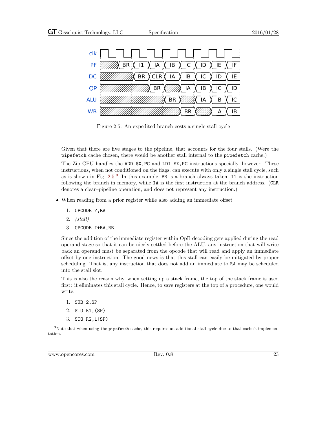

<span id="page-30-0"></span>Figure 2.5: An expedited branch costs a single stall cycle

Given that there are five stages to the pipeline, that accounts for the four stalls. (Were the pipefetch cache chosen, there would be another stall internal to the pipefetch cache.)

The Zip CPU handles the ADD  $\overline{x}$ , PC and LDI  $\overline{x}$ , PC instructions specially, however. These instructions, when not conditioned on the flags, can execute with only a single stall cycle, such as is shown in Fig. [2.5.](#page-30-0) [3](#page-30-1) In this example, BR is a branch always taken, I1 is the instruction following the branch in memory, while IA is the first instruction at the branch address. (CLR denotes a clear–pipeline operation, and does not represent any instruction.)

- When reading from a prior register while also adding an immediate offset
	- 1. OPCODE ?,RA
	- 2. (stall)
	- 3. OPCODE I+RA,RB

Since the addition of the immediate register within OpB decoding gets applied during the read operand stage so that it can be nicely settled before the ALU, any instruction that will write back an operand must be separated from the opcode that will read and apply an immediate offset by one instruction. The good news is that this stall can easily be mitigated by proper scheduling. That is, any instruction that does not add an immediate to RA may be scheduled into the stall slot.

This is also the reason why, when setting up a stack frame, the top of the stack frame is used first: it eliminates this stall cycle. Hence, to save registers at the top of a procedure, one would write:

- 1. SUB 2,SP
- 2. STO R1,(SP)
- 3. STO R2,1(SP)

<span id="page-30-1"></span> $3$ Note that when using the pipefetch cache, this requires an additional stall cycle due to that cache's implementation.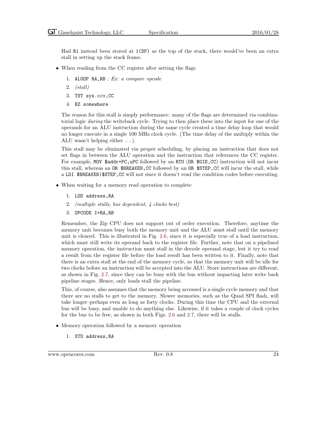Had R1 instead been stored at 1(SP) as the top of the stack, there would've been an extra stall in setting up the stack frame.

- When reading from the CC register after setting the flags
	- 1. ALUOP RA, RB ; Ex: a compare opcode
	- 2. (stall)
	- 3. TST sys.ccv,CC
	- 4. BZ somewhere

The reason for this stall is simply performance: many of the flags are determined via combinatorial logic during the writeback cycle. Trying to then place these into the input for one of the operands for an ALU instruction during the same cycle created a time delay loop that would no longer execute in a single 100 MHz clock cycle. (The time delay of the multiply within the ALU wasn't helping either . . . ).

This stall may be eliminated via proper scheduling, by placing an instruction that does not set flags in between the ALU operation and the instruction that references the CC register. For example, MOV \$addr+PC, uPC followed by an RTU (OR \$GIE, CC) instruction will not incur this stall, whereas an OR \$BREAKEN, CC followed by an OR \$STEP, CC will incur the stall, while a LDI \$BREAKEN|\$STEP, CC will not since it doesn't read the condition codes before executing.

- When waiting for a memory read operation to complete
	- 1. LOD address,RA
	- 2. (multiple stalls, bus dependent, 4 clocks best)
	- 3. OPCODE I+RA,RB

Remember, the Zip CPU does not support out of order execution. Therefore, anytime the memory unit becomes busy both the memory unit and the ALU must stall until the memory unit is cleared. This is illustrated in Fig. [2.6,](#page-32-0) since it is especially true of a load instruction, which must still write its operand back to the register file. Further, note that on a pipelined memory operation, the instruction must stall in the decode operand stage, lest it try to read a result from the register file before the load result has been written to it. Finally, note that there is an extra stall at the end of the memory cycle, so that the memory unit will be idle for two clocks before an instruction will be accepted into the ALU. Store instructions are different, as shown in Fig. [2.7,](#page-33-0) since they can be busy with the bus without impacting later write back pipeline stages. Hence, only loads stall the pipeline.

This, of course, also assumes that the memory being accessed is a single cycle memory and that there are no stalls to get to the memory. Slower memories, such as the Quad SPI flash, will take longer–perhaps even as long as forty clocks. During this time the CPU and the external bus will be busy, and unable to do anything else. Likewise, if it takes a couple of clock cycles for the bus to be free, as shown in both Figs. [2.6](#page-32-0) and [2.7,](#page-33-0) there will be stalls.

- Memory operation followed by a memory operation
	- 1. STO address,RA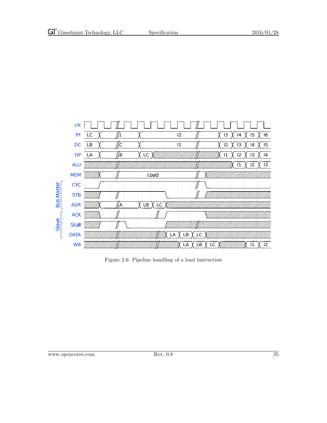

<span id="page-32-0"></span>Figure 2.6: Pipeline handling of a load instruction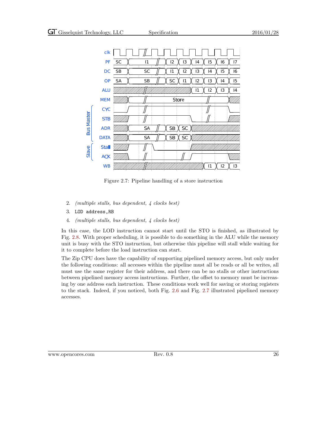

<span id="page-33-0"></span>Figure 2.7: Pipeline handling of a store instruction

- 2. (multiple stalls, bus dependent, 4 clocks best)
- 3. LOD address,RB
- 4. (multiple stalls, bus dependent, 4 clocks best)

In this case, the LOD instruction cannot start until the STO is finished, as illustrated by Fig. [2.8.](#page-34-0) With proper scheduling, it is possible to do something in the ALU while the memory unit is busy with the STO instruction, but otherwise this pipeline will stall while waiting for it to complete before the load instruction can start.

The Zip CPU does have the capability of supporting pipelined memory access, but only under the following conditions: all accesses within the pipeline must all be reads or all be writes, all must use the same register for their address, and there can be no stalls or other instructions between pipelined memory access instructions. Further, the offset to memory must be increasing by one address each instruction. These conditions work well for saving or storing registers to the stack. Indeed, if you noticed, both Fig. [2.6](#page-32-0) and Fig. [2.7](#page-33-0) illustrated pipelined memory accesses.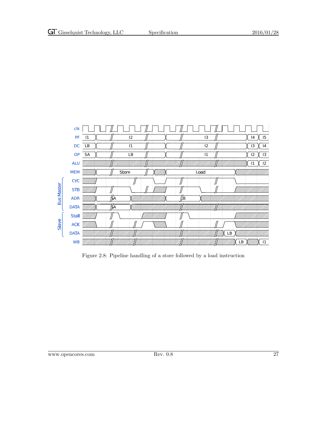

<span id="page-34-0"></span>Figure 2.8: Pipeline handling of a store followed by a load instruction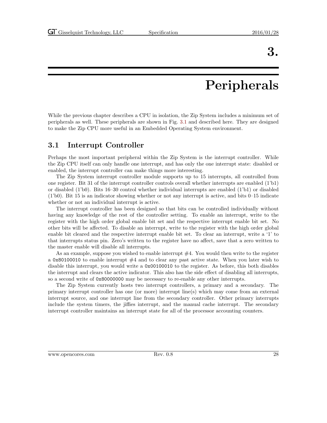## Peripherals

<span id="page-35-0"></span>While the previous chapter describes a CPU in isolation, the Zip System includes a minimum set of peripherals as well. These peripherals are shown in Fig. [3.1](#page-36-3) and described here. They are designed to make the Zip CPU more useful in an Embedded Operating System environment.

### <span id="page-35-1"></span>3.1 Interrupt Controller

Perhaps the most important peripheral within the Zip System is the interrupt controller. While the Zip CPU itself can only handle one interrupt, and has only the one interrupt state: disabled or enabled, the interrupt controller can make things more interesting.

The Zip System interrupt controller module supports up to 15 interrupts, all controlled from one register. Bit 31 of the interrupt controller controls overall whether interrupts are enabled (1'b1) or disabled (1'b0). Bits 16–30 control whether individual interrupts are enabled (1'b1) or disabled  $(1')$ b0). Bit 15 is an indicator showing whether or not any interrupt is active, and bits 0–15 indicate whether or not an individual interrupt is active.

The interrupt controller has been designed so that bits can be controlled individually without having any knowledge of the rest of the controller setting. To enable an interrupt, write to the register with the high order global enable bit set and the respective interrupt enable bit set. No other bits will be affected. To disable an interrupt, write to the register with the high order global enable bit cleared and the respective interrupt enable bit set. To clear an interrupt, write a '1' to that interrupts status pin. Zero's written to the register have no affect, save that a zero written to the master enable will disable all interrupts.

As an example, suppose you wished to enable interrupt  $#4$ . You would then write to the register a 0x80100010 to enable interrupt  $#4$  and to clear any past active state. When you later wish to disable this interrupt, you would write a 0x00100010 to the register. As before, this both disables the interrupt and clears the active indicator. This also has the side effect of disabling all interrupts, so a second write of 0x80000000 may be necessary to re-enable any other interrupts.

The Zip System currently hosts two interrupt controllers, a primary and a secondary. The primary interrupt controller has one (or more) interrupt line(s) which may come from an external interrupt source, and one interrupt line from the secondary controller. Other primary interrupts include the system timers, the jiffies interrupt, and the manual cache interrupt. The secondary interrupt controller maintains an interrupt state for all of the processor accounting counters.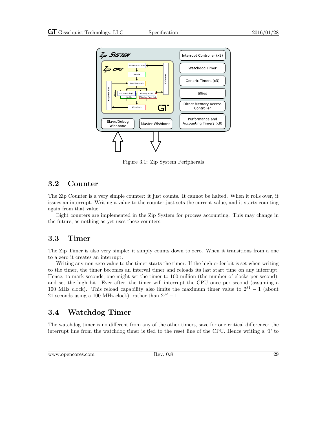

<span id="page-36-3"></span>Figure 3.1: Zip System Peripherals

### <span id="page-36-0"></span>3.2 Counter

The Zip Counter is a very simple counter: it just counts. It cannot be halted. When it rolls over, it issues an interrupt. Writing a value to the counter just sets the current value, and it starts counting again from that value.

Eight counters are implemented in the Zip System for process accounting. This may change in the future, as nothing as yet uses these counters.

### <span id="page-36-1"></span>3.3 Timer

The Zip Timer is also very simple: it simply counts down to zero. When it transitions from a one to a zero it creates an interrupt.

Writing any non-zero value to the timer starts the timer. If the high order bit is set when writing to the timer, the timer becomes an interval timer and reloads its last start time on any interrupt. Hence, to mark seconds, one might set the timer to 100 million (the number of clocks per second), and set the high bit. Ever after, the timer will interrupt the CPU once per second (assuming a 100 MHz clock). This reload capability also limits the maximum timer value to  $2^{31} - 1$  (about 21 seconds using a 100 MHz clock), rather than  $2^{32} - 1$ .

### <span id="page-36-2"></span>3.4 Watchdog Timer

The watchdog timer is no different from any of the other timers, save for one critical difference: the interrupt line from the watchdog timer is tied to the reset line of the CPU. Hence writing a '1' to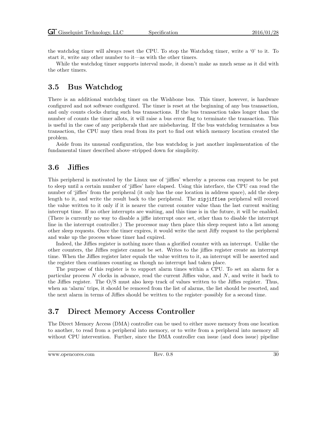the watchdog timer will always reset the CPU. To stop the Watchdog timer, write a '0' to it. To start it, write any other number to it—as with the other timers.

While the watchdog timer supports interval mode, it doesn't make as much sense as it did with the other timers.

#### <span id="page-37-0"></span>3.5 Bus Watchdog

There is an additional watchdog timer on the Wishbone bus. This timer, however, is hardware configured and not software configured. The timer is reset at the beginning of any bus transaction, and only counts clocks during such bus transactions. If the bus transaction takes longer than the number of counts the timer allots, it will raise a bus error flag to terminate the transaction. This is useful in the case of any peripherals that are misbehaving. If the bus watchdog terminates a bus transaction, the CPU may then read from its port to find out which memory location created the problem.

Aside from its unusual configuration, the bus watchdog is just another implementation of the fundamental timer described above–stripped down for simplicity.

### <span id="page-37-1"></span>3.6 Jiffies

This peripheral is motivated by the Linux use of 'jiffies' whereby a process can request to be put to sleep until a certain number of 'jiffies' have elapsed. Using this interface, the CPU can read the number of 'jiffies' from the peripheral (it only has the one location in address space), add the sleep length to it, and write the result back to the peripheral. The zipjiffies peripheral will record the value written to it only if it is nearer the current counter value than the last current waiting interrupt time. If no other interrupts are waiting, and this time is in the future, it will be enabled. (There is currently no way to disable a jiffie interrupt once set, other than to disable the interrupt line in the interrupt controller.) The processor may then place this sleep request into a list among other sleep requests. Once the timer expires, it would write the next Jiffy request to the peripheral and wake up the process whose timer had expired.

Indeed, the Jiffies register is nothing more than a glorified counter with an interrupt. Unlike the other counters, the Jiffies register cannot be set. Writes to the jiffies register create an interrupt time. When the Jiffies register later equals the value written to it, an interrupt will be asserted and the register then continues counting as though no interrupt had taken place.

The purpose of this register is to support alarm times within a CPU. To set an alarm for a particular process  $N$  clocks in advance, read the current Jiffies value, and  $N$ , and write it back to the Jiffies register. The O/S must also keep track of values written to the Jiffies register. Thus, when an 'alarm' trips, it should be removed from the list of alarms, the list should be resorted, and the next alarm in terms of Jiffies should be written to the register–possibly for a second time.

#### <span id="page-37-2"></span>3.7 Direct Memory Access Controller

The Direct Memory Access (DMA) controller can be used to either move memory from one location to another, to read from a peripheral into memory, or to write from a peripheral into memory all without CPU intervention. Further, since the DMA controller can issue (and does issue) pipeline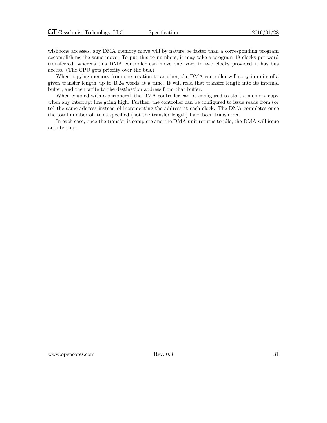wishbone accesses, any DMA memory move will by nature be faster than a corresponding program accomplishing the same move. To put this to numbers, it may take a program 18 clocks per word transferred, whereas this DMA controller can move one word in two clocks–provided it has bus access. (The CPU gets priority over the bus.)

When copying memory from one location to another, the DMA controller will copy in units of a given transfer length–up to 1024 words at a time. It will read that transfer length into its internal buffer, and then write to the destination address from that buffer.

When coupled with a peripheral, the DMA controller can be configured to start a memory copy when any interrupt line going high. Further, the controller can be configured to issue reads from (or to) the same address instead of incrementing the address at each clock. The DMA completes once the total number of items specified (not the transfer length) have been transferred.

In each case, once the transfer is complete and the DMA unit returns to idle, the DMA will issue an interrupt.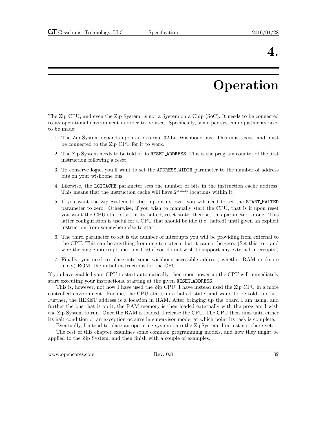# Operation

<span id="page-39-0"></span>The Zip CPU, and even the Zip System, is not a System on a Chip (SoC). It needs to be connected to its operational environment in order to be used. Specifically, some per system adjustments need to be made:

- 1. The Zip System depends upon an external 32-bit Wishbone bus. This must exist, and must be connected to the Zip CPU for it to work.
- 2. The Zip System needs to be told of its RESET ADDRESS. This is the program counter of the first instruction following a reset.
- 3. To conserve logic, you'll want to set the ADDRESS WIDTH parameter to the number of address bits on your wishbone bus.
- 4. Likewise, the LGICACHE parameter sets the number of bits in the instruction cache address. This means that the instruction cache will have  $2^{\text{LGTCACHE}}$  locations within it.
- 5. If you want the Zip System to start up on its own, you will need to set the START HALTED parameter to zero. Otherwise, if you wish to manually start the CPU, that is if upon reset you want the CPU start start in its halted, reset state, then set this parameter to one. This latter configuration is useful for a CPU that should be idle (i.e. halted) until given an explicit instruction from somewhere else to start.
- 6. The third parameter to set is the number of interrupts you will be providing from external to the CPU. This can be anything from one to sixteen, but it cannot be zero. (Set this to 1 and wire the single interrupt line to a 1'b0 if you do not wish to support any external interrupts.)
- 7. Finally, you need to place into some wishbone accessible address, whether RAM or (more likely) ROM, the initial instructions for the CPU.

If you have enabled your CPU to start automatically, then upon power up the CPU will immediately start executing your instructions, starting at the given RESET ADDRESS.

This is, however, not how I have used the Zip CPU. I have instead used the Zip CPU in a more controlled environment. For me, the CPU starts in a halted state, and waits to be told to start. Further, the RESET address is a location in RAM. After bringing up the board I am using, and further the bus that is on it, the RAM memory is then loaded externally with the program I wish the Zip System to run. Once the RAM is loaded, I release the CPU. The CPU then runs until either its halt condition or an exception occurrs in supervisor mode, at which point its task is complete.

Eventually, I intend to place an operating system onto the ZipSystem, I'm just not there yet.

The rest of this chapter examines some common programming models, and how they might be applied to the Zip System, and then finish with a couple of examples.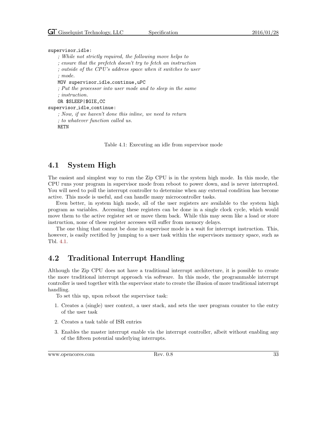```
supervisor idle:
```
; While not strictly required, the following move helps to

; ensure that the prefetch doesn't try to fetch an instruction

; outside of the CPU's address space when it switches to user

; mode.

MOV supervisor idle continue,uPC

; Put the processor into user mode and to sleep in the same ; instruction.

OR \$SLEEP|\$GIE,CC

supervisor idle continue:

; Now, if we haven't done this inline, we need to return ; to whatever function called us.

RETN

<span id="page-40-2"></span>Table 4.1: Executing an idle from supervisor mode

### <span id="page-40-0"></span>4.1 System High

The easiest and simplest way to run the Zip CPU is in the system high mode. In this mode, the CPU runs your program in supervisor mode from reboot to power down, and is never interrupted. You will need to poll the interrupt controller to determine when any external condition has become active. This mode is useful, and can handle many microcontroller tasks.

Even better, in system high mode, all of the user registers are available to the system high program as variables. Accessing these registers can be done in a single clock cycle, which would move them to the active register set or move them back. While this may seem like a load or store instruction, none of these register accesses will suffer from memory delays.

The one thing that cannot be done in supervisor mode is a wait for interrupt instruction. This, however, is easily rectified by jumping to a user task within the supervisors memory space, such as Tbl. [4.1.](#page-40-2)

### <span id="page-40-1"></span>4.2 Traditional Interrupt Handling

Although the Zip CPU does not have a traditional interrupt architecture, it is possible to create the more traditional interrupt approach via software. In this mode, the programmable interrupt controller is used together with the supervisor state to create the illusion of more traditional interrupt handling.

To set this up, upon reboot the supervisor task:

- 1. Creates a (single) user context, a user stack, and sets the user program counter to the entry of the user task
- 2. Creates a task table of ISR entries
- 3. Enables the master interrupt enable via the interrupt controller, albeit without enabling any of the fifteen potential underlying interrupts.

www.opencores.com Rev. 0.8 33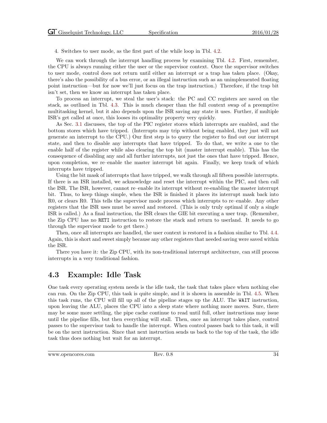4. Switches to user mode, as the first part of the while loop in Tbl. [4.2.](#page-42-0)

We can work through the interrupt handling process by examining Tbl. [4.2.](#page-42-0) First, remember, the CPU is always running either the user or the supervisor context. Once the supervisor switches to user mode, control does not return until either an interrupt or a trap has taken place. (Okay, there's also the possibility of a bus error, or an illegal instruction such as an unimplemented floating point instruction—but for now we'll just focus on the trap instruction.) Therefore, if the trap bit isn't set, then we know an interrupt has taken place.

To process an interrupt, we steal the user's stack: the PC and CC registers are saved on the stack, as outlined in Tbl. [4.3.](#page-43-0) This is much cheaper than the full context swap of a preemptive multitasking kernel, but it also depends upon the ISR saving any state it uses. Further, if multiple ISR's get called at once, this looses its optimality property very quickly.

As Sec. [3.1](#page-35-1) discusses, the top of the PIC register stores which interrupts are enabled, and the bottom stores which have tripped. (Interrupts may trip without being enabled, they just will not generate an interrupt to the CPU.) Our first step is to query the register to find out our interrupt state, and then to disable any interrupts that have tripped. To do that, we write a one to the enable half of the register while also clearing the top bit (master interrupt enable). This has the consequence of disabling any and all further interrupts, not just the ones that have tripped. Hence, upon completion, we re–enable the master interrupt bit again. Finally, we keep track of which interrupts have tripped.

Using the bit mask of interrupts that have tripped, we walk through all fifteen possible interrupts. If there is an ISR installed, we acknowledge and reset the interrupt within the PIC, and then call the ISR. The ISR, however, cannot re–enable its interrupt without re-enabling the master interrupt bit. Thus, to keep things simple, when the ISR is finished it places its interrupt mask back into R0, or clears R0. This tells the supervisor mode process which interrupts to re–enable. Any other registers that the ISR uses must be saved and restored. (This is only truly optimal if only a single ISR is called.) As a final instruction, the ISR clears the GIE bit executing a user trap. (Remember, the Zip CPU has no RETI instruction to restore the stack and return to userland. It needs to go through the supervisor mode to get there.)

Then, once all interrupts are handled, the user context is restored in a fashion similar to Tbl. [4.4.](#page-43-1) Again, this is short and sweet simply because any other registers that needed saving were saved within the ISR.

There you have it: the Zip CPU, with its non-traditional interrupt architecture, can still process interrupts in a very traditional fashion.

### <span id="page-41-0"></span>4.3 Example: Idle Task

One task every operating system needs is the idle task, the task that takes place when nothing else can run. On the Zip CPU, this task is quite simple, and it is shown in assemble in Tbl. [4.5.](#page-43-2) When this task runs, the CPU will fill up all of the pipeline stages up the ALU. The WAIT instruction, upon leaving the ALU, places the CPU into a sleep state where nothing more moves. Sure, there may be some more settling, the pipe cache continue to read until full, other instructions may issue until the pipeline fills, but then everything will stall. Then, once an interrupt takes place, control passes to the supervisor task to handle the interrupt. When control passes back to this task, it will be on the next instruction. Since that next instruction sends us back to the top of the task, the idle task thus does nothing but wait for an interrupt.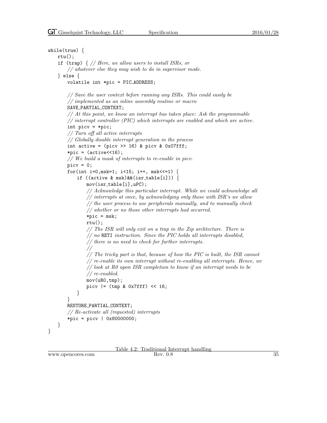```
while(true) {
   rtu();
   if (trap) \frac{1}{4} // Here, we allow users to install ISRs, or
        // whatever else they may wish to do in supervisor mode.
    } else {
       volatile int *pic = PIC ADDRESS;
       // Save the user context before running any ISRs. This could easily be
        // implemented as an inline assembly routine or macro
       SAVE PARTIAL CONTEXT;
       // At this point, we know an interrupt has taken place: Ask the programmable
       // interrupt controller (PIC) which interrupts are enabled and which are active.
       int picv = *pic;
       // Turn off all active interrupts
       // Globally disable interrupt generation in the process
       int active = (picv \gg 16) & picv & 0x07fff;
        *pic = (active<<16);// We build a mask of interrupts to re-enable in picv.
       picv = 0;
       for(int i=0,msk=1; i<15; i++, msk<<=1) {
            if ((active & msk)&&(isr table[i])) {
               mov(isr table[i],uPC);
               // Acknowledge this particular interrupt. While we could acknowledge all
               // interrupts at once, by acknowledging only those with ISR's we allow
               // the user process to use peripherals manually, and to manually check
               // whether or no those other interrupts had occurred.
               *pic = msk;rtu();
               // The ISR will only exit on a trap in the Zip archtecture. There is
               // no RETI instruction. Since the PIC holds all interrupts disabled,
               // there is no need to check for further interrupts.
               //
               // The tricky part is that, because of how the PIC is built, the ISR cannot
               // re-enable its own interrupt without re-enabling all interrupts. Hence, we
               // look at R0 upon ISR completion to know if an interrupt needs to be
               // re-enabled.
               mov(uR0,tmp);
               picv | = (tmp & 0x7fff) << 16;
            }
        }
       RESTORE PARTIAL CONTEXT;
        // Re-activate all (requested) interrupts
        *pic = picv | 0x80000000;
    }
}
```
## Table 4.2: Traditional Interrupt handling<br>Rev. 0.8

www.opencores.com Rev. 0.8 35

<span id="page-42-0"></span>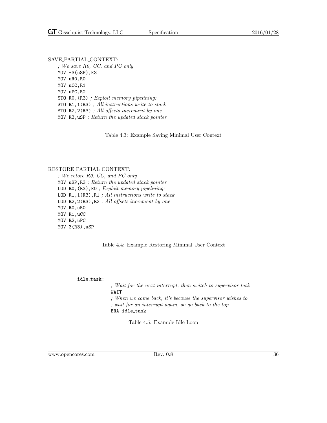SAVE PARTIAL CONTEXT: ; We save R0, CC, and PC only  $MOV -3(uSP)$ , R3 MOV uR0,R0 MOV uCC,R1 MOV uPC,R2 STO R0,(R3) ; Exploit memory pipelining: STO R1,1(R3) ; All instructions write to stack STO R2,2(R3) ; All offsets increment by one MOV R3,uSP ; Return the updated stack pointer

<span id="page-43-0"></span>Table 4.3: Example Saving Minimal User Context

#### RESTORE PARTIAL CONTEXT:

; We retore R0, CC, and PC only MOV uSP,R3 ; Return the updated stack pointer LOD RO, (R3), RO ; Exploit memory pipelining: LOD R1,1(R3),R1 ; All instructions write to stack LOD R2,2(R3),R2 ; All offsets increment by one MOV R0,uR0 MOV R1,uCC MOV R2,uPC MOV 3(R3),uSP

#### <span id="page-43-1"></span>Table 4.4: Example Restoring Minimal User Context

idle\_task:

; Wait for the next interrupt, then switch to supervisor task WAIT

; When we come back, it's because the supervisor wishes to ; wait for an interrupt again, so go back to the top. BRA idle\_task

<span id="page-43-2"></span>Table 4.5: Example Idle Loop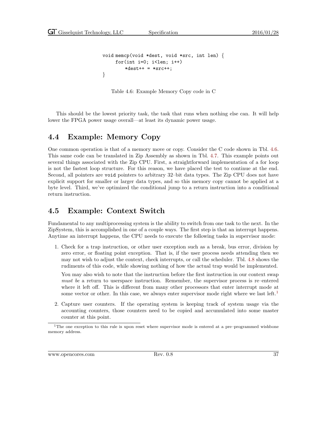```
void memcp(void *dest, void *src, int len) {
    for(int i=0; i<len; i++)
        *dest++ = *src++;}
```
<span id="page-44-2"></span>Table 4.6: Example Memory Copy code in C

This should be the lowest priority task, the task that runs when nothing else can. It will help lower the FPGA power usage overall—at least its dynamic power usage.

### <span id="page-44-0"></span>4.4 Example: Memory Copy

One common operation is that of a memory move or copy. Consider the C code shown in Tbl. [4.6.](#page-44-2) This same code can be translated in Zip Assembly as shown in Tbl. [4.7.](#page-45-0) This example points out several things associated with the Zip CPU. First, a straightforward implementation of a for loop is not the fastest loop structure. For this reason, we have placed the test to continue at the end. Second, all pointers are void pointers to arbitrary 32–bit data types. The Zip CPU does not have explicit support for smaller or larger data types, and so this memory copy cannot be applied at a byte level. Third, we've optimized the conditional jump to a return instruction into a conditional return instruction.

### <span id="page-44-1"></span>4.5 Example: Context Switch

Fundamental to any multiprocessing system is the ability to switch from one task to the next. In the ZipSystem, this is accomplished in one of a couple ways. The first step is that an interrupt happens. Anytime an interrupt happens, the CPU needs to execute the following tasks in supervisor mode:

1. Check for a trap instruction, or other user exception such as a break, bus error, division by zero error, or floating point exception. That is, if the user process needs attending then we may not wish to adjust the context, check interrupts, or call the scheduler. Tbl. [4.8](#page-45-1) shows the rudiments of this code, while showing nothing of how the actual trap would be implemented.

You may also wish to note that the instruction before the first instruction in our context swap must be a return to userspace instruction. Remember, the supervisor process is re–entered where it left off. This is different from many other processors that enter interrupt mode at some vector or other. In this case, we always enter supervisor mode right where we last left.<sup>[1](#page-44-3)</sup>

2. Capture user counters. If the operating system is keeping track of system usage via the accounting counters, those counters need to be copied and accumulated into some master counter at this point.

<span id="page-44-3"></span><sup>1</sup>The one exception to this rule is upon reset where supervisor mode is entered at a pre–programmed wishbone memory address.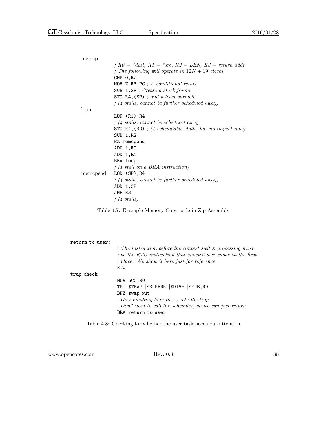| memcp: |                                                                |
|--------|----------------------------------------------------------------|
|        | ; $R0 = *dest$ , $R1 = *src$ , $R2 = LEN$ , $R3 = return addr$ |
|        | ; The following will operate in $12N + 19$ clocks.             |
|        | $CMP$ 0, R2                                                    |
|        | MOV.Z R3, PC ; A conditional return                            |
|        | SUB $1,$ SP; Create a stack frame                              |
|        | STO $R4$ , $(SP)$ ; and a local variable                       |
|        | $\frac{1}{2}$ (4 stalls, cannot be further scheduled away)     |
| loop:  |                                                                |
|        | LOD (R1), R4                                                   |
|        | $\frac{1}{2}$ (4 stalls, cannot be scheduled away)             |
|        | STO R4, $(R0)$ ; (4 schedulable stalls, has no impact now)     |
|        | SUB 1,R2                                                       |
|        | BZ memcpend                                                    |
|        | ADD 1, RO                                                      |
|        | ADD 1,R1                                                       |
|        | BRA loop                                                       |
|        | $\frac{1}{2}$ (1 stall on a BRA instruction)                   |
|        | memcpend: LOD (SP),R4                                          |
|        | $\frac{1}{2}$ ; (4 stalls, cannot be further scheduled away)   |
|        | ADD 1,SP                                                       |
|        | JMP R3                                                         |
|        | $\frac{1}{4}$ stalls)                                          |
|        |                                                                |

<span id="page-45-0"></span>Table 4.7: Example Memory Copy code in Zip Assembly

| return to user:  |                                                                                                                                                                                                      |
|------------------|------------------------------------------------------------------------------------------------------------------------------------------------------------------------------------------------------|
|                  | ; The instruction before the context switch processing must<br>; be the RTU instruction that enacted user mode in the first<br>$\therefore$ place. We show it here just for reference.<br><b>RTU</b> |
| $trap_{check}$ : |                                                                                                                                                                                                      |
|                  | MOV uCC, RO                                                                                                                                                                                          |
|                  | TST \$TRAP   \$BUSERR   \$DIVE   \$FPE, RO                                                                                                                                                           |
|                  | BNZ swap_out                                                                                                                                                                                         |
|                  | : Do something here to execute the trap                                                                                                                                                              |
|                  | ; Don't need to call the scheduler, so we can just return                                                                                                                                            |
|                  | BRA return to user                                                                                                                                                                                   |
|                  |                                                                                                                                                                                                      |

<span id="page-45-1"></span>Table 4.8: Checking for whether the user task needs our attention

www.opencores.com Rev. 0.8 38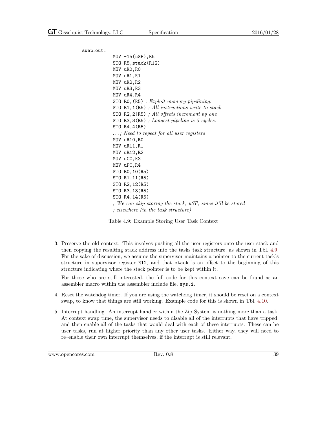swap\_out: MOV -15(uSP),R5 STO R5,stack(R12) MOV uR0,R0 MOV uR1,R1 MOV uR2,R2 MOV uR3,R3 MOV uR4,R4 STO R0,(R5) ; Exploit memory pipelining: STO R1,1(R5) ; All instructions write to stack STO R2,2(R5) ; All offsets increment by one STO R3,3(R5) ; Longest pipeline is 5 cycles. STO R4,4(R5) . . . ; Need to repeat for all user registers MOV uR10,R0 MOV uR11,R1 MOV uR12,R2 MOV uCC,R3 MOV uPC,R4 STO R0,10(R5) STO R1,11(R5) STO R2,12(R5) STO R3,13(R5) STO R4,14(R5) ; We can skip storing the stack, uSP, since it'll be stored ; elsewhere (in the task structure)

<span id="page-46-0"></span>Table 4.9: Example Storing User Task Context

3. Preserve the old context. This involves pushing all the user registers onto the user stack and then copying the resulting stack address into the tasks task structure, as shown in Tbl. [4.9.](#page-46-0) For the sake of discussion, we assume the supervisor maintains a pointer to the current task's structure in supervisor register R12, and that stack is an offset to the beginning of this structure indicating where the stack pointer is to be kept within it.

For those who are still interested, the full code for this context save can be found as an assembler macro within the assembler include file, sys.i.

- 4. Reset the watchdog timer. If you are using the watchdog timer, it should be reset on a context swap, to know that things are still working. Example code for this is shown in Tbl. [4.10.](#page-47-0)
- 5. Interrupt handling. An interrupt handler within the Zip System is nothing more than a task. At context swap time, the supervisor needs to disable all of the interrupts that have tripped, and then enable all of the tasks that would deal with each of these interrupts. These can be user tasks, run at higher priority than any other user tasks. Either way, they will need to re–enable their own interrupt themselves, if the interrupt is still relevant.

www.opencores.com Rev. 0.8 39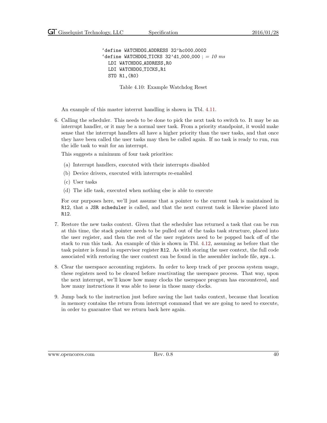'define WATCHDOG\_ADDRESS 32'hc000\_0002 'define WATCHDOG\_TICKS  $32' d1_000_000$  ; = 10 ms LDI WATCHDOG ADDRESS,R0 LDI WATCHDOG\_TICKS, R1 STO R1,(R0)

<span id="page-47-0"></span>Table 4.10: Example Watchdog Reset

An example of this master interrut handling is shown in Tbl. [4.11.](#page-48-0)

6. Calling the scheduler. This needs to be done to pick the next task to switch to. It may be an interrupt handler, or it may be a normal user task. From a priority standpoint, it would make sense that the interrupt handlers all have a higher priority than the user tasks, and that once they have been called the user tasks may then be called again. If no task is ready to run, run the idle task to wait for an interrupt.

This suggests a minimum of four task priorities:

- (a) Interrupt handlers, executed with their interrupts disabled
- (b) Device drivers, executed with interrupts re-enabled
- (c) User tasks
- (d) The idle task, executed when nothing else is able to execute

For our purposes here, we'll just assume that a pointer to the current task is maintained in R12, that a JSR scheduler is called, and that the next current task is likewise placed into R12.

- 7. Restore the new tasks context. Given that the scheduler has returned a task that can be run at this time, the stack pointer needs to be pulled out of the tasks task structure, placed into the user register, and then the rest of the user registers need to be popped back off of the stack to run this task. An example of this is shown in Tbl. [4.12,](#page-49-0) assuming as before that the task pointer is found in supervisor register R12. As with storing the user context, the full code associated with restoring the user context can be found in the assembler include file, sys.i.
- 8. Clear the userspace accounting registers. In order to keep track of per process system usage, these registers need to be cleared before reactivating the userspace process. That way, upon the next interrupt, we'll know how many clocks the userspace program has encountered, and how many instructions it was able to issue in those many clocks.
- 9. Jump back to the instruction just before saving the last tasks context, because that location in memory contains the return from interrupt command that we are going to need to execute, in order to guarantee that we return back here again.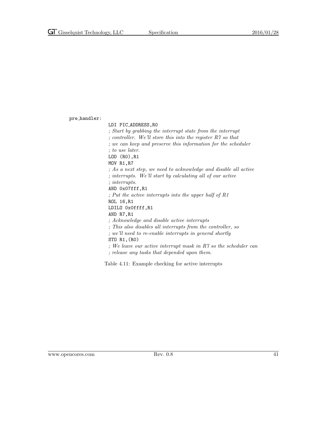pre handler:

LDI PIC ADDRESS,R0 ; Start by grabbing the interrupt state from the interrupt ; controller. We'll store this into the register R7 so that ; we can keep and preserve this information for the scheduler ; to use later. LOD (R0),R1 MOV R1,R7 ; As a next step, we need to acknowledge and disable all active ; interrupts. We'll start by calculating all of our active ; interrupts. AND 0x07fff,R1 ; Put the active interrupts into the upper half of R1 ROL 16,R1 LDILO 0x0ffff,R1 AND R7,R1 ; Acknowledge and disable active interrupts ; This also disables all interrupts from the controller, so ; we'll need to re-enable interrupts in general shortly STO R1,(R0) ; We leave our active interrupt mask in R7 so the scheduler can ; release any tasks that depended upon them.

<span id="page-48-0"></span>Table 4.11: Example checking for active interrupts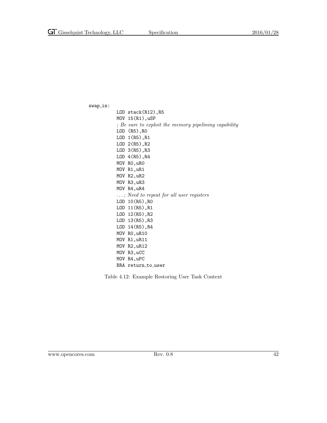$swap_in:$ 

LOD stack(R12),R5 MOV 15(R1),uSP ; Be sure to exploit the memory pipelining capability LOD (R5),R0 LOD 1(R5),R1 LOD 2(R5),R2 LOD 3(R5),R3 LOD 4(R5),R4 MOV R0,uR0 MOV R1,uR1 MOV R2,uR2 MOV R3,uR3 MOV R4,uR4 . . . ; Need to repeat for all user registers LOD 10(R5),R0 LOD 11(R5),R1 LOD 12(R5),R2 LOD 13(R5),R3 LOD 14(R5),R4 MOV R0,uR10 MOV R1,uR11 MOV R2,uR12 MOV R3,uCC MOV R4,uPC BRA return\_to\_user

<span id="page-49-0"></span>Table 4.12: Example Restoring User Task Context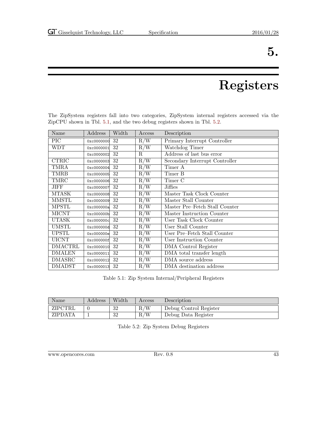# Registers

<span id="page-50-0"></span>The ZipSystem registers fall into two categories, ZipSystem internal registers accessed via the ZipCPU shown in Tbl. [5.1,](#page-50-1) and the two debug registers shown in Tbl. [5.2.](#page-50-2) Name Address Width Access Description PIC  $\vert$  0xc0000000 32  $\vert$  R/W  $\vert$  Primary Interrupt Controller

| 0xc0000000 | 32 | R/W                                                                                                                        | Primary Interrupt Controller   |
|------------|----|----------------------------------------------------------------------------------------------------------------------------|--------------------------------|
| 0xc0000001 | 32 | R/W                                                                                                                        | Watchdog Timer                 |
|            | 32 | R                                                                                                                          | Address of last bus error      |
| 0xc0000003 | 32 | R/W                                                                                                                        | Secondary Interrupt Controller |
| 0xc0000004 | 32 | R/W                                                                                                                        | Timer A                        |
| 0xc0000005 | 32 | R/W                                                                                                                        | Timer B                        |
| 0xc0000006 | 32 | R/W                                                                                                                        | Timer C                        |
| 0xc0000007 | 32 | R/W                                                                                                                        | Jiffies                        |
|            | 32 | R/W                                                                                                                        | Master Task Clock Counter      |
|            | 32 | R/W                                                                                                                        | Master Stall Counter           |
|            | 32 | R/W                                                                                                                        | Master Pre-Fetch Stall Counter |
|            | 32 | R/W                                                                                                                        | Master Instruction Counter     |
| 0xc000000c | 32 | R/W                                                                                                                        | User Task Clock Counter        |
|            | 32 | R/W                                                                                                                        | User Stall Counter             |
| 0xc000000e | 32 | R/W                                                                                                                        | User Pre-Fetch Stall Counter   |
| 0xc000000f | 32 | R/W                                                                                                                        | User Instruction Counter       |
|            | 32 | R/W                                                                                                                        | DMA Control Register           |
| 0xc0000011 | 32 | R/W                                                                                                                        | DMA total transfer length      |
|            | 32 | R/W                                                                                                                        | DMA source address             |
|            | 32 | R/W                                                                                                                        | DMA destination address        |
|            |    | 0xc0000002<br>0xc0000008<br>0xc0000009<br>0xc000000a<br>0xc000000b<br>0xc000000d<br>0xc0000010<br>0xc0000012<br>0xc0000013 |                                |

<span id="page-50-1"></span>Table 5.1: Zip System Internal/Peripheral Registers

| Name           | $\rm{Address}$ | Width | Access    | Description            |
|----------------|----------------|-------|-----------|------------------------|
| ZIPCTRL        |                | 32    | $\rm R/W$ | Debug Control Register |
| <b>ZIPDATA</b> |                | 32    | $\rm R/W$ | Debug Data Register    |

<span id="page-50-2"></span>Table 5.2: Zip System Debug Registers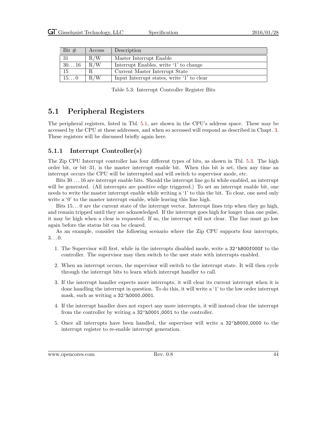| Bit $#$       | Access | Description                                |
|---------------|--------|--------------------------------------------|
| 31            | R/W    | Master Interrupt Enable                    |
| $30\ldots 16$ | R/W    | Interrupt Enables, write '1' to change     |
| 15            |        | Current Master Interrupt State             |
| $15\ldots 0$  | R/W    | Input Interrupt states, write '1' to clear |

<span id="page-51-2"></span>Table 5.3: Interrupt Controller Register Bits

### <span id="page-51-0"></span>5.1 Peripheral Registers

The peripheral registers, listed in Tbl. [5.1,](#page-50-1) are shown in the CPU's address space. These may be accessed by the CPU at these addresses, and when so accessed will respond as described in Chapt. [3.](#page-35-0) These registers will be discussed briefly again here.

#### <span id="page-51-1"></span>5.1.1 Interrupt Controller(s)

The Zip CPU Interrupt controller has four different types of bits, as shown in Tbl. [5.3.](#page-51-2) The high order bit, or bit–31, is the master interrupt enable bit. When this bit is set, then any time an interrupt occurs the CPU will be interrupted and will switch to supervisor mode, etc.

Bits 30 . . . 16 are interrupt enable bits. Should the interrupt line go hi while enabled, an interrupt will be generated. (All interrupts are positive edge triggered.) To set an interrupt enable bit, one needs to write the master interrupt enable while writing a '1' to this the bit. To clear, one need only write a '0' to the master interrupt enable, while leaving this line high.

Bits  $15...0$  are the current state of the interrupt vector. Interrupt lines trip when they go high, and remain tripped until they are acknowledged. If the interrupt goes high for longer than one pulse, it may be high when a clear is requested. If so, the interrupt will not clear. The line must go low again before the status bit can be cleared.

As an example, consider the following scenario where the Zip CPU supports four interrupts,  $3. \ldots 0.$ 

- 1. The Supervisor will first, while in the interrupts disabled mode, write a 32'h800f000f to the controller. The supervisor may then switch to the user state with interrupts enabled.
- 2. When an interrupt occurs, the supervisor will switch to the interrupt state. It will then cycle through the interrupt bits to learn which interrupt handler to call.
- 3. If the interrupt handler expects more interrupts, it will clear its current interrupt when it is done handling the interrupt in question. To do this, it will write a '1' to the low order interrupt mask, such as writing a  $32'$ h0000<sub>-0001</sub>.
- 4. If the interrupt handler does not expect any more interrupts, it will instead clear the interrupt from the controller by writing a  $32'$  h0001\_0001 to the controller.
- 5. Once all interrupts have been handled, the supervisor will write a 32'h8000 0000 to the interrupt register to re-enable interrupt generation.

www.opencores.com Rev. 0.8 44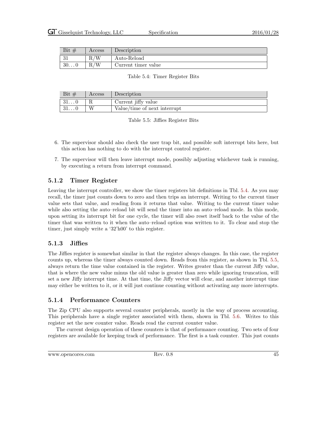| Bit<br>$+$ | $\rm Access$ | Description         |  |
|------------|--------------|---------------------|--|
| ົ<br>υı    | в.           | Auto-Reload         |  |
| 300        | /W<br>n.     | Current timer value |  |

#### <span id="page-52-3"></span>Table 5.4: Timer Register Bits

| Bit $#$       | Access | Description                  |  |  |
|---------------|--------|------------------------------|--|--|
| 310           |        | Current jiffy value          |  |  |
| $01 \ldots 0$ |        | Value/time of next interrupt |  |  |

<span id="page-52-4"></span>Table 5.5: Jiffies Register Bits

- 6. The supervisor should also check the user trap bit, and possible soft interrupt bits here, but this action has nothing to do with the interrupt control register.
- 7. The supervisor will then leave interrupt mode, possibly adjusting whichever task is running, by executing a return from interrupt command.

#### <span id="page-52-0"></span>5.1.2 Timer Register

Leaving the interrupt controller, we show the timer registers bit definitions in Tbl. [5.4.](#page-52-3) As you may recall, the timer just counts down to zero and then trips an interrupt. Writing to the current timer value sets that value, and reading from it returns that value. Writing to the current timer value while also setting the auto–reload bit will send the timer into an auto–reload mode. In this mode, upon setting its interrupt bit for one cycle, the timer will also reset itself back to the value of the timer that was written to it when the auto–reload option was written to it. To clear and stop the timer, just simply write a '32'h00' to this register.

#### <span id="page-52-1"></span>5.1.3 Jiffies

The Jiffies register is somewhat similar in that the register always changes. In this case, the register counts up, whereas the timer always counted down. Reads from this register, as shown in Tbl. [5.5,](#page-52-4) always return the time value contained in the register. Writes greater than the current Jiffy value, that is where the new value minus the old value is greater than zero while ignoring truncation, will set a new Jiffy interrupt time. At that time, the Jiffy vector will clear, and another interrupt time may either be written to it, or it will just continue counting without activating any more interrupts.

#### <span id="page-52-2"></span>5.1.4 Performance Counters

The Zip CPU also supports several counter peripherals, mostly in the way of process accounting. This peripherals have a single register associated with them, shown in Tbl. [5.6.](#page-53-2) Writes to this register set the new counter value. Reads read the current counter value.

The current design operation of these counters is that of performance counting. Two sets of four registers are available for keeping track of performance. The first is a task counter. This just counts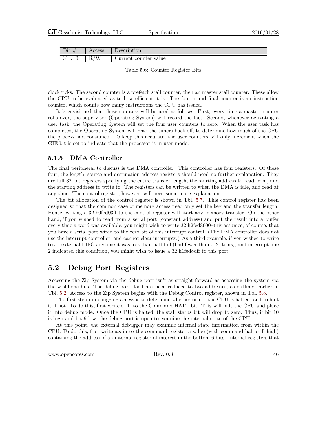| Bit           | 0000<br>ACCC <sub>DD</sub> | Description   |
|---------------|----------------------------|---------------|
| .പ            | 'W                         | counter value |
| $01 \ldots 0$ | $\mathbf{n}_{\ell}$        | urrent/       |

<span id="page-53-2"></span>Table 5.6: Counter Register Bits

clock ticks. The second counter is a prefetch stall counter, then an master stall counter. These allow the CPU to be evaluated as to how efficient it is. The fourth and final counter is an instruction counter, which counts how many instructions the CPU has issued.

It is envisioned that these counters will be used as follows: First, every time a master counter rolls over, the supervisor (Operating System) will record the fact. Second, whenever activating a user task, the Operating System will set the four user counters to zero. When the user task has completed, the Operating System will read the timers back off, to determine how much of the CPU the process had consumed. To keep this accurate, the user counters will only increment when the GIE bit is set to indicate that the processor is in user mode.

#### <span id="page-53-0"></span>5.1.5 DMA Controller

The final peripheral to discuss is the DMA controller. This controller has four registers. Of these four, the length, source and destination address registers should need no further explanation. They are full 32–bit registers specifying the entire transfer length, the starting address to read from, and the starting address to write to. The registers can be written to when the DMA is idle, and read at any time. The control register, however, will need some more explanation.

The bit allocation of the control register is shown in Tbl. [5.7.](#page-54-0) This control register has been designed so that the common case of memory access need only set the key and the transfer length. Hence, writing a 32'h0fed03ff to the control register will start any memory transfer. On the other hand, if you wished to read from a serial port (constant address) and put the result into a buffer every time a word was available, you might wish to write  $32$ 'h2fed8000–this assumes, of course, that you have a serial port wired to the zero bit of this interrupt control. (The DMA controller does not use the interrupt controller, and cannot clear interrupts.) As a third example, if you wished to write to an external FIFO anytime it was less than half full (had fewer than 512 items), and interrupt line 2 indicated this condition, you might wish to issue a 32'h1fed8dff to this port.

### <span id="page-53-1"></span>5.2 Debug Port Registers

Accessing the Zip System via the debug port isn't as straight forward as accessing the system via the wishbone bus. The debug port itself has been reduced to two addresses, as outlined earlier in Tbl. [5.2.](#page-50-2) Access to the Zip System begins with the Debug Control register, shown in Tbl. [5.8.](#page-54-1)

The first step in debugging access is to determine whether or not the CPU is halted, and to halt it if not. To do this, first write a '1' to the Command HALT bit. This will halt the CPU and place it into debug mode. Once the CPU is halted, the stall status bit will drop to zero. Thus, if bit 10 is high and bit 9 low, the debug port is open to examine the internal state of the CPU.

At this point, the external debugger may examine internal state information from within the CPU. To do this, first write again to the command register a value (with command halt still high) containing the address of an internal register of interest in the bottom 6 bits. Internal registers that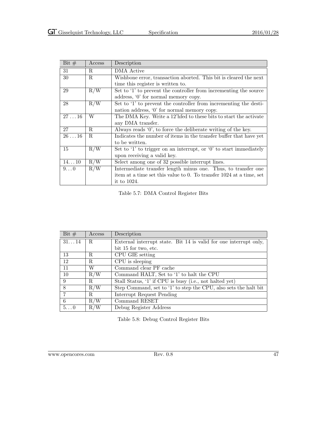| Bit $#$        | Access      | Description                                                            |  |
|----------------|-------------|------------------------------------------------------------------------|--|
| 31             | R.          | DMA Active                                                             |  |
| 30             | R           | Wishbone error, transaction aborted. This bit is cleared the next      |  |
|                |             | time this register is written to.                                      |  |
| 29             | R/W         | Set to '1' to prevent the controller from incrementing the source      |  |
|                |             | address, '0' for normal memory copy.                                   |  |
| 28             | R/W         | Set to '1' to prevent the controller from incrementing the desti-      |  |
|                |             | nation address, $\langle 0 \rangle$ for normal memory copy.            |  |
| 2716           | W           | The DMA Key. Write a 12'hfed to these bits to start the activate       |  |
|                |             | any DMA transfer.                                                      |  |
| 27             | $R_{\cdot}$ | Always reads '0', to force the deliberate writing of the key.          |  |
| $26 \ldots 16$ | $\mathbf R$ | Indicates the number of items in the transfer buffer that have yet     |  |
|                |             | to be written.                                                         |  |
| 15             | R/W         | Set to $'1'$ to trigger on an interrupt, or $'0'$ to start immediately |  |
|                |             | upon receiving a valid key.                                            |  |
| 1410           | R/W         | Select among one of 32 possible interrupt lines.                       |  |
| $9\dots 0$     | R/W         | Intermediate transfer length minus one. Thus, to transfer one          |  |
|                |             | item at a time set this value to 0. To transfer 1024 at a time, set    |  |
|                |             | it to 1024.                                                            |  |

<span id="page-54-0"></span>Table 5.7: DMA Control Register Bits

| Bit $#$     | Access | Description                                                       |  |  |
|-------------|--------|-------------------------------------------------------------------|--|--|
| 3114        | R.     | External interrupt state. Bit 14 is valid for one interrupt only, |  |  |
|             |        | bit 15 for two, etc.                                              |  |  |
| 13          | R.     | CPU GIE setting                                                   |  |  |
| 12          | R.     | CPU is sleeping                                                   |  |  |
| 11          | W      | Command clear PF cache                                            |  |  |
| 10          | R/W    | Command HALT, Set to '1' to halt the CPU                          |  |  |
| 9           | R.     | Stall Status, '1' if CPU is busy (i.e., not halted yet)           |  |  |
| 8           | R/W    | Step Command, set to '1' to step the CPU, also sets the halt bit  |  |  |
| 7           | R.     | Interrupt Request Pending                                         |  |  |
| 6           | R/W    | Command RESET                                                     |  |  |
| $5\ldots 0$ | R/W    | Debug Register Address                                            |  |  |

<span id="page-54-1"></span>Table 5.8: Debug Control Register Bits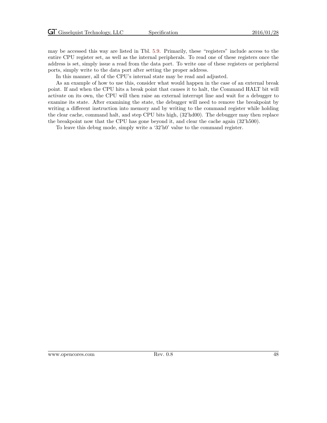may be accessed this way are listed in Tbl. [5.9.](#page-56-0) Primarily, these "registers" include access to the entire CPU register set, as well as the internal peripherals. To read one of these registers once the address is set, simply issue a read from the data port. To write one of these registers or peripheral ports, simply write to the data port after setting the proper address.

In this manner, all of the CPU's internal state may be read and adjusted.

As an example of how to use this, consider what would happen in the case of an external break point. If and when the CPU hits a break point that causes it to halt, the Command HALT bit will activate on its own, the CPU will then raise an external interrupt line and wait for a debugger to examine its state. After examining the state, the debugger will need to remove the breakpoint by writing a different instruction into memory and by writing to the command register while holding the clear cache, command halt, and step CPU bits high, (32'hd00). The debugger may then replace the breakpoint now that the CPU has gone beyond it, and clear the cache again (32'h500).

To leave this debug mode, simply write a '32'h0' value to the command register.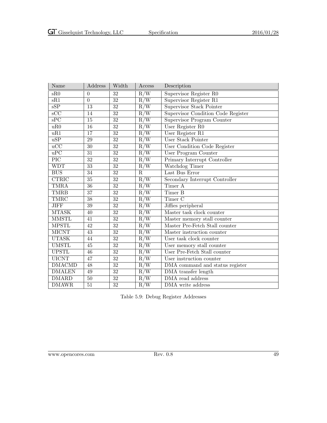| Name                    | Address         | Width           | Access                  | Description                               |
|-------------------------|-----------------|-----------------|-------------------------|-------------------------------------------|
| sR0                     | $\theta$        | 32              | R/W                     | Supervisor Register R0                    |
| $\overline{\text{sR1}}$ | $\overline{0}$  | $\overline{32}$ | $R/\overline{W}$        | Supervisor Register R1                    |
| $\overline{\text{sSP}}$ | $\overline{13}$ | $\overline{32}$ | R/W                     | <b>Supervisor Stack Pointer</b>           |
| $\overline{\text{SCC}}$ | $\overline{14}$ | $\overline{32}$ | R/W                     | <b>Supervisor Condition Code Register</b> |
| $\overline{\text{sPC}}$ | $\overline{15}$ | $\overline{32}$ | R/W                     | Supervisor Program Counter                |
| uR0                     | $\overline{16}$ | $\overline{32}$ | R/W                     | User Register R0                          |
| uR1                     | $\overline{17}$ | $\overline{32}$ | R/W                     | User Register R1                          |
| $\overline{uSP}$        | 29              | $\overline{32}$ | $R/\overline{W}$        | User Stack Pointer                        |
| $\overline{uCC}$        | $\overline{30}$ | $\overline{32}$ | R/W                     | <b>User Condition Code Register</b>       |
| $\overline{uPC}$        | $\overline{31}$ | $\overline{32}$ | R/W                     | User Program Counter                      |
| $\overline{\text{PIC}}$ | $\overline{32}$ | $\overline{32}$ | R/W                     | Primary Interrupt Controller              |
| <b>WDT</b>              | $\overline{33}$ | $\overline{32}$ | R/W                     | Watchdog Timer                            |
| <b>BUS</b>              | 34              | 32              | $\overline{\mathrm{R}}$ | Last Bus Error                            |
| <b>CTRIC</b>            | $\overline{35}$ | $\overline{32}$ | R/W                     | Secondary Interrupt Controller            |
| <b>TMRA</b>             | $\overline{36}$ | 32              | $\overline{R/W}$        | Timer A                                   |
| <b>TMRB</b>             | $\overline{37}$ | $\overline{32}$ | R/W                     | Timer B                                   |
| <b>TMRC</b>             | $\overline{38}$ | $\overline{32}$ | $\overline{R/W}$        | Timer <sub>C</sub>                        |
| <b>JIFF</b>             | $\overline{39}$ | $\overline{32}$ | R/W                     | Jiffies peripheral                        |
| <b>MTASK</b>            | $\overline{40}$ | $\overline{32}$ | R/W                     | Master task clock counter                 |
| <b>MMSTL</b>            | $\overline{41}$ | $\overline{32}$ | $\overline{R/W}$        | Master memory stall counter               |
| <b>MPSTL</b>            | $\overline{42}$ | $\overline{32}$ | $R/\overline{W}$        | Master Pre-Fetch Stall counter            |
| <b>MICNT</b>            | 43              | $\overline{32}$ | R/W                     | Master instruction counter                |
| <b>UTASK</b>            | 44              | $\overline{32}$ | R/W                     | User task clock counter                   |
| <b>UMSTL</b>            | $\overline{45}$ | $\overline{32}$ | R/W                     | User memory stall counter                 |
| <b>UPSTL</b>            | $\overline{46}$ | $\overline{32}$ | R/W                     | User Pre-Fetch Stall counter              |
| <b>UICNT</b>            | 47              | $\overline{32}$ | R/W                     | User instruction counter                  |
| <b>DMACMD</b>           | 48              | $\overline{32}$ | R/W                     | DMA command and status register           |
| <b>DMALEN</b>           | $\overline{49}$ | $\overline{32}$ | R/W                     | DMA transfer length                       |
| <b>DMARD</b>            | $\overline{50}$ | $\overline{32}$ | $R/\overline{W}$        | DMA read address                          |
| <b>DMAWR</b>            | $\overline{51}$ | $\overline{32}$ | $R/\overline{W}$        | DMA write address                         |

<span id="page-56-0"></span>Table 5.9: Debug Register Addresses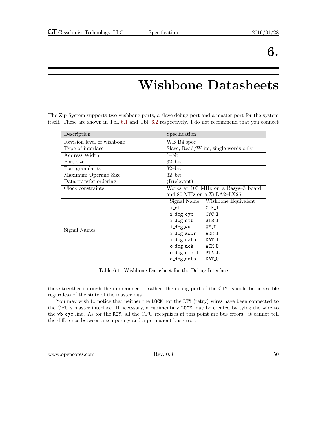## Wishbone Datasheets

<span id="page-57-0"></span>The Zip System supports two wishbone ports, a slave debug port and a master port for the system itself. These are shown in Tbl. [6.1](#page-57-1) and Tbl. [6.2](#page-58-0) respectively. I do not recommend that you connect

| Description                | Specification                        |
|----------------------------|--------------------------------------|
| Revision level of wishbone | WB B4 spec                           |
| Type of interface          | Slave, Read/Write, single words only |
| Address Width              | $1$ -bit                             |
| Port size                  | $32$ -bit                            |
| Port granularity           | $32$ -bit                            |
| Maximum Operand Size       | $32$ -bit                            |
| Data transfer ordering     | (Irrelevant)                         |
| Clock constraints          | Works at 100 MHz on a Basys-3 board, |
|                            | and 80 MHz on a XuLA2–LX25           |
|                            | Signal Name Wishbone Equivalent      |
|                            | i_clk<br>$CLK_I$                     |
|                            | i_dbg_cyc CYC_I                      |
|                            | i_dbg_stb<br>STB_I                   |
| Signal Names               | i_dbg_we<br>WE_I                     |
|                            | i_dbg_addr<br>ADR_I                  |
|                            | i_dbg_data<br>DAT_I                  |
|                            | o_dbg_ack<br>ACK_0                   |
|                            | o_dbg_stall<br>STALL_0               |
|                            | o_dbg_data<br>DAT <sub>-</sub> 0     |

<span id="page-57-1"></span>Table 6.1: Wishbone Datasheet for the Debug Interface

these together through the interconnect. Rather, the debug port of the CPU should be accessible regardless of the state of the master bus.

You may wish to notice that neither the LOCK nor the RTY (retry) wires have been connected to the CPU's master interface. If necessary, a rudimentary LOCK may be created by tying the wire to the wb cyc line. As for the RTY, all the CPU recognizes at this point are bus errors—it cannot tell the difference between a temporary and a permanent bus error.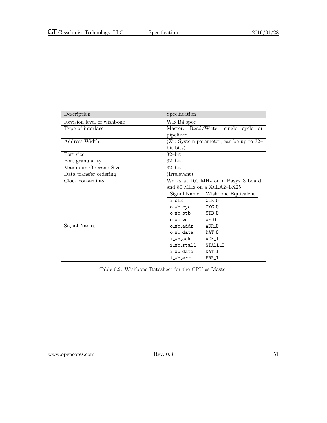| Description                | Specification                           |
|----------------------------|-----------------------------------------|
| Revision level of wishbone | WB B4 spec                              |
| Type of interface          | Master, Read/Write, single cycle or     |
|                            | pipelined                               |
| Address Width              | (Zip System parameter, can be up to 32– |
|                            | bit bits)                               |
| Port size                  | $32$ -bit                               |
| Port granularity           | $32$ -bit                               |
| Maximum Operand Size       | $32$ -bit                               |
| Data transfer ordering     | (Irrelevant)                            |
| Clock constraints          | Works at 100 MHz on a Basys-3 board,    |
|                            | and 80 MHz on a XuLA2-LX25              |
|                            | Signal Name Wishbone Equivalent         |
|                            | i_clk<br>$CLK_0$                        |
|                            | CYC_0<br>o_wb_cyc                       |
|                            | o_wb_stb<br>STB_0                       |
|                            | WE_O<br>o_wb_we                         |
| Signal Names               | ADR <sub>0</sub><br>o_wb_addr           |
|                            | DAT O<br>o_wb_data                      |
|                            | i_wb_ack<br>$ACK_I$                     |
|                            | STALL I<br>i_wb_stall                   |
|                            | i_wb_data<br>DAT <sub>I</sub>           |
|                            | ERR_I<br>i_wb_err                       |

<span id="page-58-0"></span>Table 6.2: Wishbone Datasheet for the CPU as Master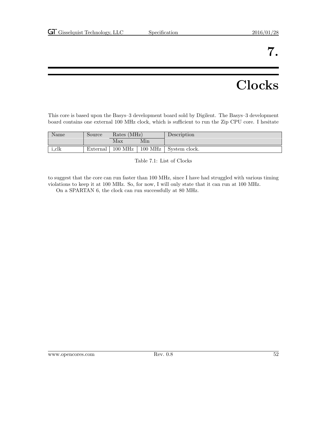# Clocks

<span id="page-59-0"></span>This core is based upon the Basys–3 development board sold by Digilent. The Basys–3 development board contains one external 100 MHz clock, which is sufficient to run the Zip CPU core. I hesitate

| Name  | Source   | Rates (MHz) |                     | Description   |
|-------|----------|-------------|---------------------|---------------|
|       |          | Max         | Min                 |               |
| i_clk | External | $100$ MHz   | $100\;\mathrm{MHz}$ | System clock. |

<span id="page-59-1"></span>Table 7.1: List of Clocks

to suggest that the core can run faster than 100 MHz, since I have had struggled with various timing violations to keep it at 100 MHz. So, for now, I will only state that it can run at 100 MHz.

On a SPARTAN 6, the clock can run successfully at 80 MHz.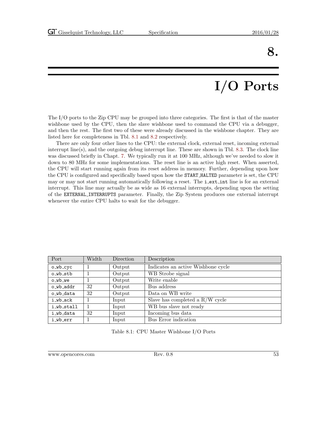# I/O Ports

<span id="page-60-0"></span>The I/O ports to the Zip CPU may be grouped into three categories. The first is that of the master wishbone used by the CPU, then the slave wishbone used to command the CPU via a debugger, and then the rest. The first two of these were already discussed in the wishbone chapter. They are listed here for completeness in Tbl. [8.1](#page-60-1) and [8.2](#page-61-0) respectively.

There are only four other lines to the CPU: the external clock, external reset, incoming external interrupt line(s), and the outgoing debug interrupt line. These are shown in Tbl. [8.3.](#page-61-1) The clock line was discussed briefly in Chapt. [7.](#page-59-0) We typically run it at 100 MHz, although we've needed to slow it down to 80 MHz for some implementations. The reset line is an active high reset. When asserted, the CPU will start running again from its reset address in memory. Further, depending upon how the CPU is configured and specifically based upon how the START HALTED parameter is set, the CPU may or may not start running automatically following a reset. The **i\_ext\_int** line is for an external interrupt. This line may actually be as wide as 16 external interrupts, depending upon the setting of the EXTERNAL INTERRUPTS parameter. Finally, the Zip System produces one external interrupt whenever the entire CPU halts to wait for the debugger.

| Port       | Width | Direction | Description                        |
|------------|-------|-----------|------------------------------------|
| $o_wb_cyc$ |       | Output    | Indicates an active Wishbone cycle |
| o_wb_stb   | 1     | Output    | WB Strobe signal                   |
| o_wb_we    |       | Output    | Write enable                       |
| o wb addr  | 32    | Output    | Bus address                        |
| o wb data  | 32    | Output    | Data on WB write                   |
| i_wb_ack   |       | Input     | Slave has completed a $R/W$ cycle  |
| i_wb_stall |       | Input     | WB bus slave not ready             |
| i_wb_data  | 32    | Input     | Incoming bus data                  |
| i_wb_err   |       | Input     | Bus Error indication               |

<span id="page-60-1"></span>Table 8.1: CPU Master Wishbone I/O Ports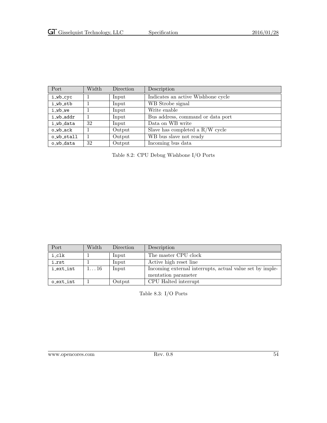| Port       | Width          | Direction | Description                        |
|------------|----------------|-----------|------------------------------------|
| i_wb_cyc   | $\overline{1}$ | Input     | Indicates an active Wishbone cycle |
| i_wb_stb   |                | Input     | WB Strobe signal                   |
| i_wb_we    |                | Input     | Write enable                       |
| i_wb_addr  |                | Input     | Bus address, command or data port  |
| i_wb_data  | 32             | Input     | Data on WB write                   |
| o_wb_ack   |                | Output    | Slave has completed a $R/W$ cycle  |
| o_wb_stall |                | Output    | WB bus slave not ready             |
| o_wb_data  | 32             | Output    | Incoming bus data                  |

<span id="page-61-0"></span>Table 8.2: CPU Debug Wishbone I/O Ports

| Port              | Width        | Direction | Description                                              |
|-------------------|--------------|-----------|----------------------------------------------------------|
| i_clk             |              | Input     | The master CPU clock                                     |
| i rst             |              | Input     | Active high reset line                                   |
| i_ext_int         | $1\ldots 16$ | Input     | Incoming external interrupts, actual value set by imple- |
|                   |              |           | mentation parameter                                      |
| $o$ $ext$ - $int$ |              | Output    | CPU Halted interrupt                                     |

<span id="page-61-1"></span>Table 8.3: I/O Ports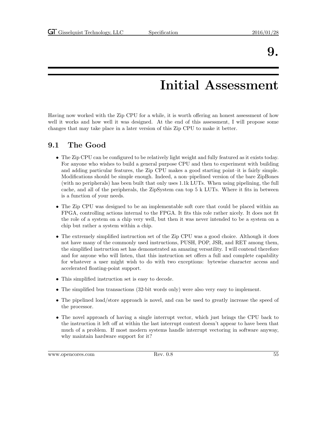## Initial Assessment

<span id="page-62-0"></span>Having now worked with the Zip CPU for a while, it is worth offering an honest assessment of how well it works and how well it was designed. At the end of this assessment, I will propose some changes that may take place in a later version of this Zip CPU to make it better.

### <span id="page-62-1"></span>9.1 The Good

- The Zip CPU can be configured to be relatively light weight and fully featured as it exists today. For anyone who wishes to build a general purpose CPU and then to experiment with building and adding particular features, the Zip CPU makes a good starting point–it is fairly simple. Modifications should be simple enough. Indeed, a non–pipelined version of the bare ZipBones (with no peripherals) has been built that only uses 1.1k LUTs. When using pipelining, the full cache, and all of the peripherals, the ZipSystem can top 5 k LUTs. Where it fits in between is a function of your needs.
- The Zip CPU was designed to be an implementable soft core that could be placed within an FPGA, controlling actions internal to the FPGA. It fits this role rather nicely. It does not fit the role of a system on a chip very well, but then it was never intended to be a system on a chip but rather a system within a chip.
- The extremely simplified instruction set of the Zip CPU was a good choice. Although it does not have many of the commonly used instructions, PUSH, POP, JSR, and RET among them, the simplified instruction set has demonstrated an amazing versatility. I will contend therefore and for anyone who will listen, that this instruction set offers a full and complete capability for whatever a user might wish to do with two exceptions: bytewise character access and accelerated floating-point support.
- This simplified instruction set is easy to decode.
- The simplified bus transactions (32-bit words only) were also very easy to implement.
- The pipelined load/store approach is novel, and can be used to greatly increase the speed of the processor.
- The novel approach of having a single interrupt vector, which just brings the CPU back to the instruction it left off at within the last interrupt context doesn't appear to have been that much of a problem. If most modern systems handle interrupt vectoring in software anyway, why maintain hardware support for it?

www.opencores.com Rev. 0.8 55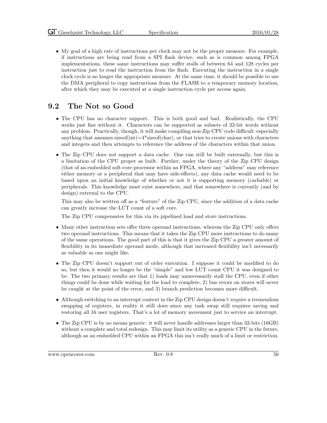• My goal of a high rate of instructions per clock may not be the proper measure. For example, if instructions are being read from a SPI flash device, such as is common among FPGA implementations, these same instructions may suffer stalls of between 64 and 128 cycles per instruction just to read the instruction from the flash. Executing the instruction in a single clock cycle is no longer the appropriate measure. At the same time, it should be possible to use the DMA peripheral to copy instructions from the FLASH to a temporary memory location, after which they may be executed at a single instruction cycle per access again.

### <span id="page-63-0"></span>9.2 The Not so Good

- The CPU has no character support. This is both good and bad. Realistically, the CPU works just fine without it. Characters can be supported as subsets of 32-bit words without any problem. Practically, though, it will make compiling non-Zip CPU code difficult–especially anything that assumes size of  $(int) = 4*size$  of  $(char)$ , or that tries to create unions with characters and integers and then attempts to reference the address of the characters within that union.
- The Zip CPU does not support a data cache. One can still be built externally, but this is a limitation of the CPU proper as built. Further, under the theory of the Zip CPU design (that of an embedded soft-core processor within an FPGA, where any "address" may reference either memory or a peripheral that may have side-effects), any data cache would need to be based upon an initial knowledge of whether or not it is supporting memory (cachable) or peripherals. This knowledge must exist somewhere, and that somewhere is currently (and by design) external to the CPU.

This may also be written off as a "feature" of the Zip CPU, since the addition of a data cache can greatly increase the LUT count of a soft core.

The Zip CPU compensates for this via its pipelined load and store instructions.

- Many other instruction sets offer three operand instructions, whereas the Zip CPU only offers two operand instructions. This means that it takes the Zip CPU more instructions to do many of the same operations. The good part of this is that it gives the Zip CPU a greater amount of flexibility in its immediate operand mode, although that increased flexibility isn't necessarily as valuable as one might like.
- The Zip CPU doesn't support out of order execution. I suppose it could be modified to do so, but then it would no longer be the "simple" and low LUT count CPU it was designed to be. The two primary results are that 1) loads may unnecessarily stall the CPU, even if other things could be done while waiting for the load to complete, 2) bus errors on stores will never be caught at the point of the error, and 3) branch prediction becomes more difficult.
- Although switching to an interrupt context in the Zip CPU design doesn't require a tremendous swapping of registers, in reality it still does–since any task swap still requires saving and restoring all 16 user registers. That's a lot of memory movement just to service an interrupt.
- The Zip CPU is by no means generic: it will never handle addresses larger than 32-bits (16GB) without a complete and total redesign. This may limit its utility as a generic CPU in the future, although as an embedded CPU within an FPGA this isn't really much of a limit or restriction.

www.opencores.com Rev. 0.8 56